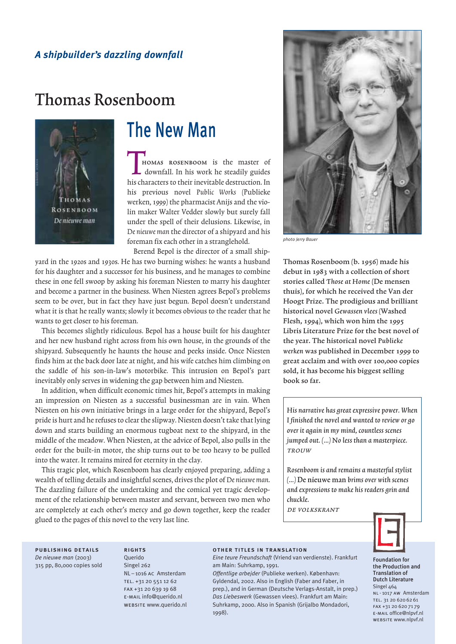## *A shipbuilder's dazzling downfall*

# Thomas Rosenboom



# The New Man

HOMAS ROSENBOOM is the master of downfall. In his work he steadily guides his characters to their inevitable destruction. In his previous novel Public Works (Publieke werken, 1999) the pharmacist Anijs and the violin maker Walter Vedder slowly but surely fall under the spell of their delusions. Likewise, in De nieuwe man the director of a shipyard and his foreman fix each other in a stranglehold.

Berend Bepol is the director of a small ship-

yard in the 1920s and 1930s. He has two burning wishes: he wants a husband for his daughter and a successor for his business, and he manages to combine these in one fell swoop by asking his foreman Niesten to marry his daughter and become a partner in the business. When Niesten agrees Bepol's problems seem to be over, but in fact they have just begun. Bepol doesn't understand what it is that he really wants; slowly it becomes obvious to the reader that he wants to get closer to his foreman.

This becomes slightly ridiculous. Bepol has a house built for his daughter and her new husband right across from his own house, in the grounds of the shipyard. Subsequently he haunts the house and peeks inside. Once Niesten finds him at the back door late at night, and his wife catches him climbing on the saddle of his son-in-law's motorbike. This intrusion on Bepol's part inevitably only serves in widening the gap between him and Niesten.

In addition, when difficult economic times hit, Bepol's attempts in making an impression on Niesten as a successful businessman are in vain. When Niesten on his own initiative brings in a large order for the shipyard, Bepol's pride is hurt and he refuses to clear the slipway. Niesten doesn't take that lying down and starts building an enormous tugboat next to the shipyard, in the middle of the meadow. When Niesten, at the advice of Bepol, also pulls in the order for the built-in motor, the ship turns out to be too heavy to be pulled into the water. It remains mired for eternity in the clay.

This tragic plot, which Rosenboom has clearly enjoyed preparing, adding a wealth of telling details and insightful scenes, drives the plot of De nieuwe man. The dazzling failure of the undertaking and the comical yet tragic development of the relationship between master and servant, between two men who are completely at each other's mercy and go down together, keep the reader glued to the pages of this novel to the very last line.



*photo Jerry Bauer*

Thomas Rosenboom (b. 1956) made his debut in 1983 with a collection of short stories called Those at Home (De mensen thuis), for which he received the Van der Hoogt Prize. The prodigious and brilliant historical novel Gewassen vlees (Washed Flesh, 1994), which won him the 1995 Libris Literature Prize for the best novel of the year. The historical novel Publieke werken was published in December 1999 to great acclaim and with over 100,000 copies sold, it has become his biggest selling book so far.

His narrative has great expressive power. When I finished the novel and wanted to review or go over it again in my mind, countless scenes jumped out.  $(...)$  No less than a masterpiece. TROUW

Rosenboom is and remains a masterful stylist (…) De nieuwe man brims over with scenes and expressions to make his readers grin and chuckle.

de volkskrant



publishing details *De nieuwe man* (2003) 315 pp, 80,000 copies sold

**RIGHTS** Querido Singel 262 NL-1016 AC Amsterdam tel. +31 20 551 12 62 fax +31 20 639 19 68 e-mail info@querido.nl website www.querido.nl

#### other titles in translation

*Eine teure Freundschaft* (Vriend van verdienste). Frankfurt am Main: Suhrkamp, 1991.

*Offentlige arbejder* (Publieke werken). København: Gyldendal, 2002. Also in English (Faber and Faber, in prep.), and in German (Deutsche Verlags-Anstalt, in prep.) *Das Liebeswerk* (Gewassen vlees). Frankfurt am Main: Suhrkamp, 2000. Also in Spanish (Grijalbo Mondadori, 1998).

Foundation for the Production and Translation of Dutch Literature Singel 464 NL-1017 AW Amsterdam TEL. 31 20 620 62 61 FAX +31 20 620 71 79 e-mail office@nlpvf.nl website www.nlpvf.nl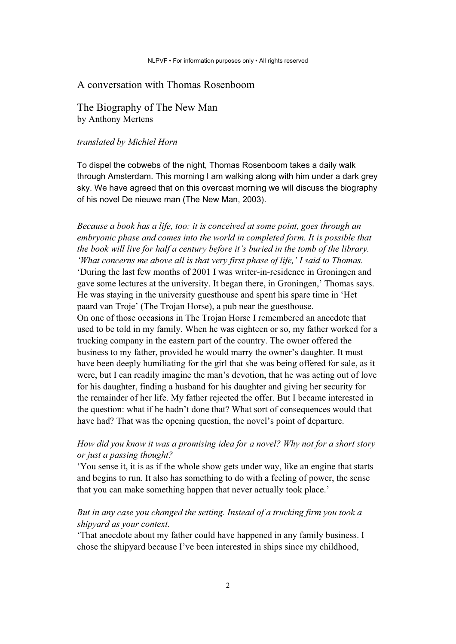### A conversation with Thomas Rosenboom

The Biography of The New Man by Anthony Mertens

### *translated by Michiel Horn*

To dispel the cobwebs of the night, Thomas Rosenboom takes a daily walk through Amsterdam. This morning I am walking along with him under a dark grey sky. We have agreed that on this overcast morning we will discuss the biography of his novel De nieuwe man (The New Man, 2003).

*Because a book has a life, too: it is conceived at some point, goes through an embryonic phase and comes into the world in completed form. It is possible that the book will live for half a century before it's buried in the tomb of the library. 'What concerns me above all is that very first phase of life,' I said to Thomas.*  'During the last few months of 2001 I was writer-in-residence in Groningen and gave some lectures at the university. It began there, in Groningen,' Thomas says. He was staying in the university guesthouse and spent his spare time in 'Het paard van Troje' (The Trojan Horse), a pub near the guesthouse. On one of those occasions in The Trojan Horse I remembered an anecdote that used to be told in my family. When he was eighteen or so, my father worked for a trucking company in the eastern part of the country. The owner offered the business to my father, provided he would marry the owner's daughter. It must have been deeply humiliating for the girl that she was being offered for sale, as it were, but I can readily imagine the man's devotion, that he was acting out of love for his daughter, finding a husband for his daughter and giving her security for the remainder of her life. My father rejected the offer. But I became interested in the question: what if he hadn't done that? What sort of consequences would that have had? That was the opening question, the novel's point of departure.

## *How did you know it was a promising idea for a novel? Why not for a short story or just a passing thought?*

'You sense it, it is as if the whole show gets under way, like an engine that starts and begins to run. It also has something to do with a feeling of power, the sense that you can make something happen that never actually took place.'

## *But in any case you changed the setting. Instead of a trucking firm you took a shipyard as your context.*

'That anecdote about my father could have happened in any family business. I chose the shipyard because I've been interested in ships since my childhood,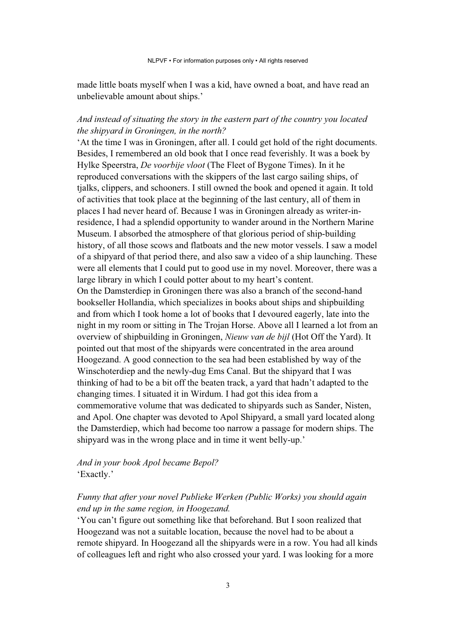made little boats myself when I was a kid, have owned a boat, and have read an unbelievable amount about ships.'

## *And instead of situating the story in the eastern part of the country you located the shipyard in Groningen, in the north?*

'At the time I was in Groningen, after all. I could get hold of the right documents. Besides, I remembered an old book that I once read feverishly. It was a boek by Hylke Speerstra, *De voorbije vloot* (The Fleet of Bygone Times). In it he reproduced conversations with the skippers of the last cargo sailing ships, of tjalks, clippers, and schooners. I still owned the book and opened it again. It told of activities that took place at the beginning of the last century, all of them in places I had never heard of. Because I was in Groningen already as writer-inresidence, I had a splendid opportunity to wander around in the Northern Marine Museum. I absorbed the atmosphere of that glorious period of ship-building history, of all those scows and flatboats and the new motor vessels. I saw a model of a shipyard of that period there, and also saw a video of a ship launching. These were all elements that I could put to good use in my novel. Moreover, there was a large library in which I could potter about to my heart's content. On the Damsterdiep in Groningen there was also a branch of the second-hand bookseller Hollandia, which specializes in books about ships and shipbuilding and from which I took home a lot of books that I devoured eagerly, late into the night in my room or sitting in The Trojan Horse. Above all I learned a lot from an overview of shipbuilding in Groningen, *Nieuw van de bijl* (Hot Off the Yard). It pointed out that most of the shipyards were concentrated in the area around Hoogezand. A good connection to the sea had been established by way of the Winschoterdiep and the newly-dug Ems Canal. But the shipyard that I was thinking of had to be a bit off the beaten track, a yard that hadn't adapted to the changing times. I situated it in Wirdum. I had got this idea from a commemorative volume that was dedicated to shipyards such as Sander, Nisten, and Apol. One chapter was devoted to Apol Shipyard, a small yard located along the Damsterdiep, which had become too narrow a passage for modern ships. The shipyard was in the wrong place and in time it went belly-up.'

## *And in your book Apol became Bepol?*  'Exactly.'

## *Funny that after your novel Publieke Werken (Public Works) you should again end up in the same region, in Hoogezand.*

'You can't figure out something like that beforehand. But I soon realized that Hoogezand was not a suitable location, because the novel had to be about a remote shipyard. In Hoogezand all the shipyards were in a row. You had all kinds of colleagues left and right who also crossed your yard. I was looking for a more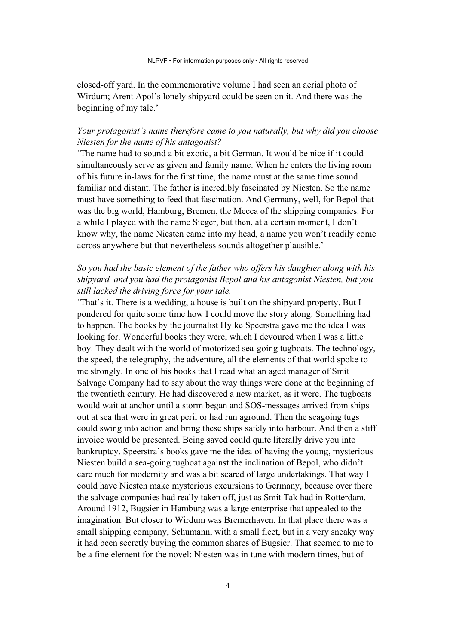closed-off yard. In the commemorative volume I had seen an aerial photo of Wirdum; Arent Apol's lonely shipyard could be seen on it. And there was the beginning of my tale.'

## *Your protagonist's name therefore came to you naturally, but why did you choose Niesten for the name of his antagonist?*

'The name had to sound a bit exotic, a bit German. It would be nice if it could simultaneously serve as given and family name. When he enters the living room of his future in-laws for the first time, the name must at the same time sound familiar and distant. The father is incredibly fascinated by Niesten. So the name must have something to feed that fascination. And Germany, well, for Bepol that was the big world, Hamburg, Bremen, the Mecca of the shipping companies. For a while I played with the name Sieger, but then, at a certain moment, I don't know why, the name Niesten came into my head, a name you won't readily come across anywhere but that nevertheless sounds altogether plausible.'

## *So you had the basic element of the father who offers his daughter along with his shipyard, and you had the protagonist Bepol and his antagonist Niesten, but you still lacked the driving force for your tale.*

'That's it. There is a wedding, a house is built on the shipyard property. But I pondered for quite some time how I could move the story along. Something had to happen. The books by the journalist Hylke Speerstra gave me the idea I was looking for. Wonderful books they were, which I devoured when I was a little boy. They dealt with the world of motorized sea-going tugboats. The technology, the speed, the telegraphy, the adventure, all the elements of that world spoke to me strongly. In one of his books that I read what an aged manager of Smit Salvage Company had to say about the way things were done at the beginning of the twentieth century. He had discovered a new market, as it were. The tugboats would wait at anchor until a storm began and SOS-messages arrived from ships out at sea that were in great peril or had run aground. Then the seagoing tugs could swing into action and bring these ships safely into harbour. And then a stiff invoice would be presented. Being saved could quite literally drive you into bankruptcy. Speerstra's books gave me the idea of having the young, mysterious Niesten build a sea-going tugboat against the inclination of Bepol, who didn't care much for modernity and was a bit scared of large undertakings. That way I could have Niesten make mysterious excursions to Germany, because over there the salvage companies had really taken off, just as Smit Tak had in Rotterdam. Around 1912, Bugsier in Hamburg was a large enterprise that appealed to the imagination. But closer to Wirdum was Bremerhaven. In that place there was a small shipping company, Schumann, with a small fleet, but in a very sneaky way it had been secretly buying the common shares of Bugsier. That seemed to me to be a fine element for the novel: Niesten was in tune with modern times, but of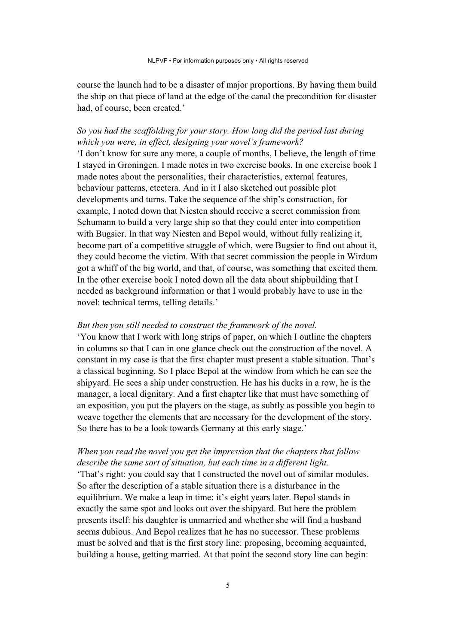course the launch had to be a disaster of major proportions. By having them build the ship on that piece of land at the edge of the canal the precondition for disaster had, of course, been created.'

## *So you had the scaffolding for your story. How long did the period last during which you were, in effect, designing your novel's framework?*

'I don't know for sure any more, a couple of months, I believe, the length of time I stayed in Groningen. I made notes in two exercise books. In one exercise book I made notes about the personalities, their characteristics, external features, behaviour patterns, etcetera. And in it I also sketched out possible plot developments and turns. Take the sequence of the ship's construction, for example, I noted down that Niesten should receive a secret commission from Schumann to build a very large ship so that they could enter into competition with Bugsier. In that way Niesten and Bepol would, without fully realizing it, become part of a competitive struggle of which, were Bugsier to find out about it, they could become the victim. With that secret commission the people in Wirdum got a whiff of the big world, and that, of course, was something that excited them. In the other exercise book I noted down all the data about shipbuilding that I needed as background information or that I would probably have to use in the novel: technical terms, telling details.'

#### *But then you still needed to construct the framework of the novel.*

'You know that I work with long strips of paper, on which I outline the chapters in columns so that I can in one glance check out the construction of the novel. A constant in my case is that the first chapter must present a stable situation. That's a classical beginning. So I place Bepol at the window from which he can see the shipyard. He sees a ship under construction. He has his ducks in a row, he is the manager, a local dignitary. And a first chapter like that must have something of an exposition, you put the players on the stage, as subtly as possible you begin to weave together the elements that are necessary for the development of the story. So there has to be a look towards Germany at this early stage.'

## *When you read the novel you get the impression that the chapters that follow describe the same sort of situation, but each time in a different light.*

'That's right: you could say that I constructed the novel out of similar modules. So after the description of a stable situation there is a disturbance in the equilibrium. We make a leap in time: it's eight years later. Bepol stands in exactly the same spot and looks out over the shipyard. But here the problem presents itself: his daughter is unmarried and whether she will find a husband seems dubious. And Bepol realizes that he has no successor. These problems must be solved and that is the first story line: proposing, becoming acquainted, building a house, getting married. At that point the second story line can begin: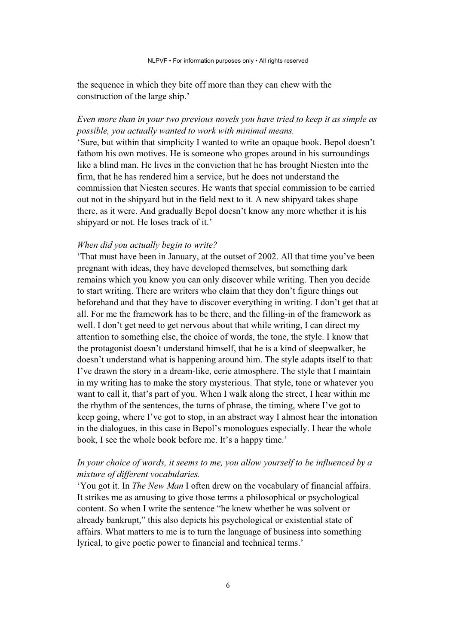the sequence in which they bite off more than they can chew with the construction of the large ship.'

## *Even more than in your two previous novels you have tried to keep it as simple as possible, you actually wanted to work with minimal means.*

'Sure, but within that simplicity I wanted to write an opaque book. Bepol doesn't fathom his own motives. He is someone who gropes around in his surroundings like a blind man. He lives in the conviction that he has brought Niesten into the firm, that he has rendered him a service, but he does not understand the commission that Niesten secures. He wants that special commission to be carried out not in the shipyard but in the field next to it. A new shipyard takes shape there, as it were. And gradually Bepol doesn't know any more whether it is his shipyard or not. He loses track of it.'

#### *When did you actually begin to write?*

'That must have been in January, at the outset of 2002. All that time you've been pregnant with ideas, they have developed themselves, but something dark remains which you know you can only discover while writing. Then you decide to start writing. There are writers who claim that they don't figure things out beforehand and that they have to discover everything in writing. I don't get that at all. For me the framework has to be there, and the filling-in of the framework as well. I don't get need to get nervous about that while writing, I can direct my attention to something else, the choice of words, the tone, the style. I know that the protagonist doesn't understand himself, that he is a kind of sleepwalker, he doesn't understand what is happening around him. The style adapts itself to that: I've drawn the story in a dream-like, eerie atmosphere. The style that I maintain in my writing has to make the story mysterious. That style, tone or whatever you want to call it, that's part of you. When I walk along the street, I hear within me the rhythm of the sentences, the turns of phrase, the timing, where I've got to keep going, where I've got to stop, in an abstract way I almost hear the intonation in the dialogues, in this case in Bepol's monologues especially. I hear the whole book, I see the whole book before me. It's a happy time.'

## *In your choice of words, it seems to me, you allow yourself to be influenced by a mixture of different vocabularies.*

'You got it. In *The New Man* I often drew on the vocabulary of financial affairs. It strikes me as amusing to give those terms a philosophical or psychological content. So when I write the sentence "he knew whether he was solvent or already bankrupt," this also depicts his psychological or existential state of affairs. What matters to me is to turn the language of business into something lyrical, to give poetic power to financial and technical terms.'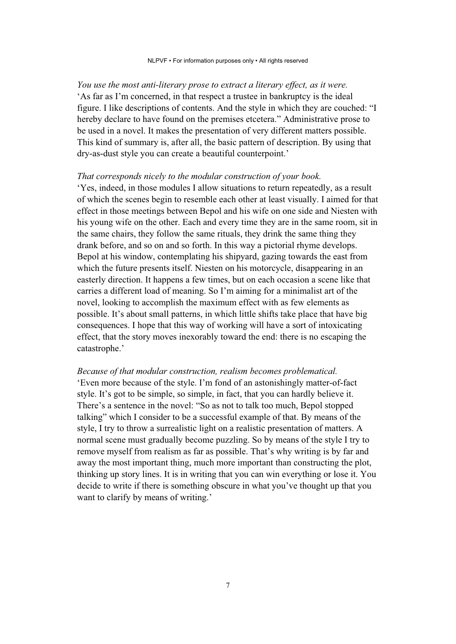#### NLPVF • For information purposes only • All rights reserved

*You use the most anti-literary prose to extract a literary effect, as it were.* 'As far as I'm concerned, in that respect a trustee in bankruptcy is the ideal figure. I like descriptions of contents. And the style in which they are couched: "I hereby declare to have found on the premises etcetera." Administrative prose to be used in a novel. It makes the presentation of very different matters possible. This kind of summary is, after all, the basic pattern of description. By using that dry-as-dust style you can create a beautiful counterpoint.'

#### *That corresponds nicely to the modular construction of your book.*

'Yes, indeed, in those modules I allow situations to return repeatedly, as a result of which the scenes begin to resemble each other at least visually. I aimed for that effect in those meetings between Bepol and his wife on one side and Niesten with his young wife on the other. Each and every time they are in the same room, sit in the same chairs, they follow the same rituals, they drink the same thing they drank before, and so on and so forth. In this way a pictorial rhyme develops. Bepol at his window, contemplating his shipyard, gazing towards the east from which the future presents itself. Niesten on his motorcycle, disappearing in an easterly direction. It happens a few times, but on each occasion a scene like that carries a different load of meaning. So I'm aiming for a minimalist art of the novel, looking to accomplish the maximum effect with as few elements as possible. It's about small patterns, in which little shifts take place that have big consequences. I hope that this way of working will have a sort of intoxicating effect, that the story moves inexorably toward the end: there is no escaping the catastrophe.'

### *Because of that modular construction, realism becomes problematical.*

'Even more because of the style. I'm fond of an astonishingly matter-of-fact style. It's got to be simple, so simple, in fact, that you can hardly believe it. There's a sentence in the novel: "So as not to talk too much, Bepol stopped talking" which I consider to be a successful example of that. By means of the style, I try to throw a surrealistic light on a realistic presentation of matters. A normal scene must gradually become puzzling. So by means of the style I try to remove myself from realism as far as possible. That's why writing is by far and away the most important thing, much more important than constructing the plot, thinking up story lines. It is in writing that you can win everything or lose it. You decide to write if there is something obscure in what you've thought up that you want to clarify by means of writing.'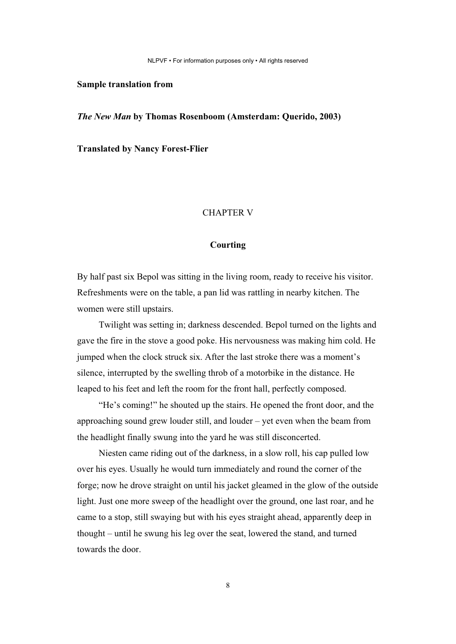NLPVF • For information purposes only • All rights reserved

#### **Sample translation from**

*The New Man* **by Thomas Rosenboom (Amsterdam: Querido, 2003)** 

**Translated by Nancy Forest-Flier**

#### CHAPTER V

#### **Courting**

By half past six Bepol was sitting in the living room, ready to receive his visitor. Refreshments were on the table, a pan lid was rattling in nearby kitchen. The women were still upstairs.

Twilight was setting in; darkness descended. Bepol turned on the lights and gave the fire in the stove a good poke. His nervousness was making him cold. He jumped when the clock struck six. After the last stroke there was a moment's silence, interrupted by the swelling throb of a motorbike in the distance. He leaped to his feet and left the room for the front hall, perfectly composed.

"He's coming!" he shouted up the stairs. He opened the front door, and the approaching sound grew louder still, and louder – yet even when the beam from the headlight finally swung into the yard he was still disconcerted.

Niesten came riding out of the darkness, in a slow roll, his cap pulled low over his eyes. Usually he would turn immediately and round the corner of the forge; now he drove straight on until his jacket gleamed in the glow of the outside light. Just one more sweep of the headlight over the ground, one last roar, and he came to a stop, still swaying but with his eyes straight ahead, apparently deep in thought – until he swung his leg over the seat, lowered the stand, and turned towards the door.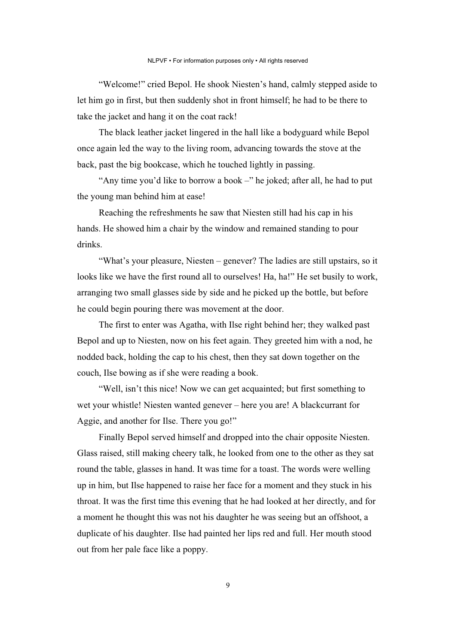"Welcome!" cried Bepol. He shook Niesten's hand, calmly stepped aside to let him go in first, but then suddenly shot in front himself; he had to be there to take the jacket and hang it on the coat rack!

The black leather jacket lingered in the hall like a bodyguard while Bepol once again led the way to the living room, advancing towards the stove at the back, past the big bookcase, which he touched lightly in passing.

"Any time you'd like to borrow a book –" he joked; after all, he had to put the young man behind him at ease!

Reaching the refreshments he saw that Niesten still had his cap in his hands. He showed him a chair by the window and remained standing to pour drinks.

"What's your pleasure, Niesten – genever? The ladies are still upstairs, so it looks like we have the first round all to ourselves! Ha, ha!" He set busily to work, arranging two small glasses side by side and he picked up the bottle, but before he could begin pouring there was movement at the door.

The first to enter was Agatha, with Ilse right behind her; they walked past Bepol and up to Niesten, now on his feet again. They greeted him with a nod, he nodded back, holding the cap to his chest, then they sat down together on the couch, Ilse bowing as if she were reading a book.

"Well, isn't this nice! Now we can get acquainted; but first something to wet your whistle! Niesten wanted genever – here you are! A blackcurrant for Aggie, and another for Ilse. There you go!"

Finally Bepol served himself and dropped into the chair opposite Niesten. Glass raised, still making cheery talk, he looked from one to the other as they sat round the table, glasses in hand. It was time for a toast. The words were welling up in him, but Ilse happened to raise her face for a moment and they stuck in his throat. It was the first time this evening that he had looked at her directly, and for a moment he thought this was not his daughter he was seeing but an offshoot, a duplicate of his daughter. Ilse had painted her lips red and full. Her mouth stood out from her pale face like a poppy.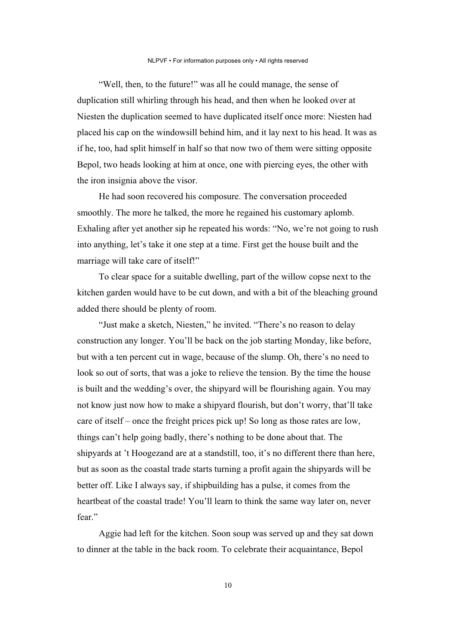"Well, then, to the future!" was all he could manage, the sense of duplication still whirling through his head, and then when he looked over at Niesten the duplication seemed to have duplicated itself once more: Niesten had placed his cap on the windowsill behind him, and it lay next to his head. It was as if he, too, had split himself in half so that now two of them were sitting opposite Bepol, two heads looking at him at once, one with piercing eyes, the other with the iron insignia above the visor.

He had soon recovered his composure. The conversation proceeded smoothly. The more he talked, the more he regained his customary aplomb. Exhaling after yet another sip he repeated his words: "No, we're not going to rush into anything, let's take it one step at a time. First get the house built and the marriage will take care of itself!"

To clear space for a suitable dwelling, part of the willow copse next to the kitchen garden would have to be cut down, and with a bit of the bleaching ground added there should be plenty of room.

"Just make a sketch, Niesten," he invited. "There's no reason to delay construction any longer. You'll be back on the job starting Monday, like before, but with a ten percent cut in wage, because of the slump. Oh, there's no need to look so out of sorts, that was a joke to relieve the tension. By the time the house is built and the wedding's over, the shipyard will be flourishing again. You may not know just now how to make a shipyard flourish, but don't worry, that'll take care of itself – once the freight prices pick up! So long as those rates are low, things can't help going badly, there's nothing to be done about that. The shipyards at 't Hoogezand are at a standstill, too, it's no different there than here, but as soon as the coastal trade starts turning a profit again the shipyards will be better off. Like I always say, if shipbuilding has a pulse, it comes from the heartbeat of the coastal trade! You'll learn to think the same way later on, never fear."

Aggie had left for the kitchen. Soon soup was served up and they sat down to dinner at the table in the back room. To celebrate their acquaintance, Bepol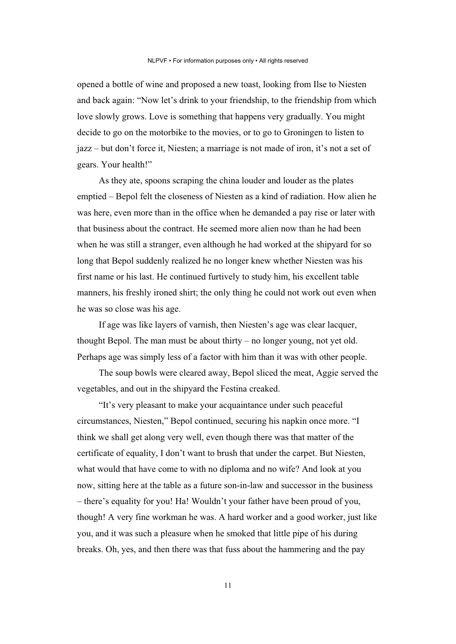opened a bottle of wine and proposed a new toast, looking from Ilse to Niesten and back again: "Now let's drink to your friendship, to the friendship from which love slowly grows. Love is something that happens very gradually. You might decide to go on the motorbike to the movies, or to go to Groningen to listen to jazz – but don't force it, Niesten; a marriage is not made of iron, it's not a set of gears. Your health!"

As they ate, spoons scraping the china louder and louder as the plates emptied – Bepol felt the closeness of Niesten as a kind of radiation. How alien he was here, even more than in the office when he demanded a pay rise or later with that business about the contract. He seemed more alien now than he had been when he was still a stranger, even although he had worked at the shipyard for so long that Bepol suddenly realized he no longer knew whether Niesten was his first name or his last. He continued furtively to study him, his excellent table manners, his freshly ironed shirt; the only thing he could not work out even when he was so close was his age.

If age was like layers of varnish, then Niesten's age was clear lacquer, thought Bepol. The man must be about thirty – no longer young, not yet old. Perhaps age was simply less of a factor with him than it was with other people.

The soup bowls were cleared away, Bepol sliced the meat, Aggie served the vegetables, and out in the shipyard the Festina creaked.

"It's very pleasant to make your acquaintance under such peaceful circumstances, Niesten," Bepol continued, securing his napkin once more. "I think we shall get along very well, even though there was that matter of the certificate of equality, I don't want to brush that under the carpet. But Niesten, what would that have come to with no diploma and no wife? And look at you now, sitting here at the table as a future son-in-law and successor in the business – there's equality for you! Ha! Wouldn't your father have been proud of you, though! A very fine workman he was. A hard worker and a good worker, just like you, and it was such a pleasure when he smoked that little pipe of his during breaks. Oh, yes, and then there was that fuss about the hammering and the pay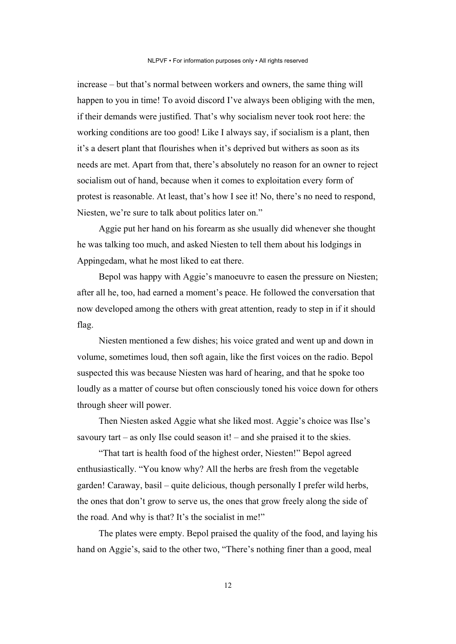increase – but that's normal between workers and owners, the same thing will happen to you in time! To avoid discord I've always been obliging with the men, if their demands were justified. That's why socialism never took root here: the working conditions are too good! Like I always say, if socialism is a plant, then it's a desert plant that flourishes when it's deprived but withers as soon as its needs are met. Apart from that, there's absolutely no reason for an owner to reject socialism out of hand, because when it comes to exploitation every form of protest is reasonable. At least, that's how I see it! No, there's no need to respond, Niesten, we're sure to talk about politics later on."

Aggie put her hand on his forearm as she usually did whenever she thought he was talking too much, and asked Niesten to tell them about his lodgings in Appingedam, what he most liked to eat there.

Bepol was happy with Aggie's manoeuvre to easen the pressure on Niesten; after all he, too, had earned a moment's peace. He followed the conversation that now developed among the others with great attention, ready to step in if it should flag.

Niesten mentioned a few dishes; his voice grated and went up and down in volume, sometimes loud, then soft again, like the first voices on the radio. Bepol suspected this was because Niesten was hard of hearing, and that he spoke too loudly as a matter of course but often consciously toned his voice down for others through sheer will power.

Then Niesten asked Aggie what she liked most. Aggie's choice was Ilse's savoury tart – as only Ilse could season it! – and she praised it to the skies.

"That tart is health food of the highest order, Niesten!" Bepol agreed enthusiastically. "You know why? All the herbs are fresh from the vegetable garden! Caraway, basil – quite delicious, though personally I prefer wild herbs, the ones that don't grow to serve us, the ones that grow freely along the side of the road. And why is that? It's the socialist in me!"

The plates were empty. Bepol praised the quality of the food, and laying his hand on Aggie's, said to the other two, "There's nothing finer than a good, meal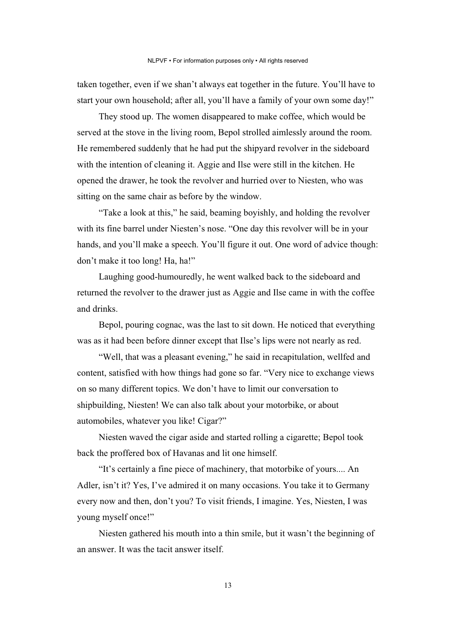taken together, even if we shan't always eat together in the future. You'll have to start your own household; after all, you'll have a family of your own some day!"

They stood up. The women disappeared to make coffee, which would be served at the stove in the living room, Bepol strolled aimlessly around the room. He remembered suddenly that he had put the shipyard revolver in the sideboard with the intention of cleaning it. Aggie and Ilse were still in the kitchen. He opened the drawer, he took the revolver and hurried over to Niesten, who was sitting on the same chair as before by the window.

"Take a look at this," he said, beaming boyishly, and holding the revolver with its fine barrel under Niesten's nose. "One day this revolver will be in your hands, and you'll make a speech. You'll figure it out. One word of advice though: don't make it too long! Ha, ha!"

Laughing good-humouredly, he went walked back to the sideboard and returned the revolver to the drawer just as Aggie and Ilse came in with the coffee and drinks.

Bepol, pouring cognac, was the last to sit down. He noticed that everything was as it had been before dinner except that Ilse's lips were not nearly as red.

"Well, that was a pleasant evening," he said in recapitulation, wellfed and content, satisfied with how things had gone so far. "Very nice to exchange views on so many different topics. We don't have to limit our conversation to shipbuilding, Niesten! We can also talk about your motorbike, or about automobiles, whatever you like! Cigar?"

Niesten waved the cigar aside and started rolling a cigarette; Bepol took back the proffered box of Havanas and lit one himself.

"It's certainly a fine piece of machinery, that motorbike of yours.... An Adler, isn't it? Yes, I've admired it on many occasions. You take it to Germany every now and then, don't you? To visit friends, I imagine. Yes, Niesten, I was young myself once!"

Niesten gathered his mouth into a thin smile, but it wasn't the beginning of an answer. It was the tacit answer itself.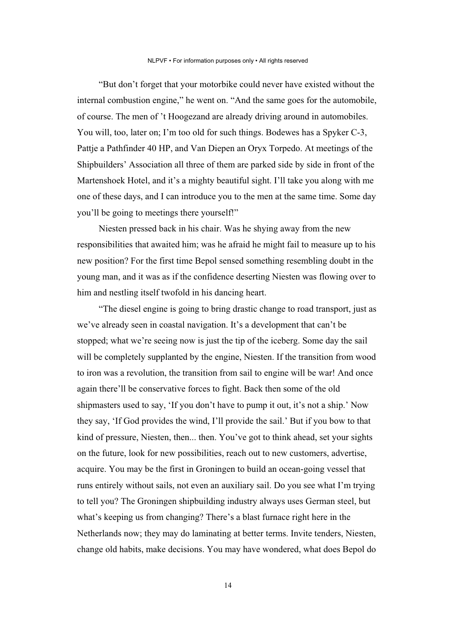"But don't forget that your motorbike could never have existed without the internal combustion engine," he went on. "And the same goes for the automobile, of course. The men of 't Hoogezand are already driving around in automobiles. You will, too, later on; I'm too old for such things. Bodewes has a Spyker C-3, Pattje a Pathfinder 40 HP, and Van Diepen an Oryx Torpedo. At meetings of the Shipbuilders' Association all three of them are parked side by side in front of the Martenshoek Hotel, and it's a mighty beautiful sight. I'll take you along with me one of these days, and I can introduce you to the men at the same time. Some day you'll be going to meetings there yourself!"

Niesten pressed back in his chair. Was he shying away from the new responsibilities that awaited him; was he afraid he might fail to measure up to his new position? For the first time Bepol sensed something resembling doubt in the young man, and it was as if the confidence deserting Niesten was flowing over to him and nestling itself twofold in his dancing heart.

"The diesel engine is going to bring drastic change to road transport, just as we've already seen in coastal navigation. It's a development that can't be stopped; what we're seeing now is just the tip of the iceberg. Some day the sail will be completely supplanted by the engine, Niesten. If the transition from wood to iron was a revolution, the transition from sail to engine will be war! And once again there'll be conservative forces to fight. Back then some of the old shipmasters used to say, 'If you don't have to pump it out, it's not a ship.' Now they say, 'If God provides the wind, I'll provide the sail.' But if you bow to that kind of pressure, Niesten, then... then. You've got to think ahead, set your sights on the future, look for new possibilities, reach out to new customers, advertise, acquire. You may be the first in Groningen to build an ocean-going vessel that runs entirely without sails, not even an auxiliary sail. Do you see what I'm trying to tell you? The Groningen shipbuilding industry always uses German steel, but what's keeping us from changing? There's a blast furnace right here in the Netherlands now; they may do laminating at better terms. Invite tenders, Niesten, change old habits, make decisions. You may have wondered, what does Bepol do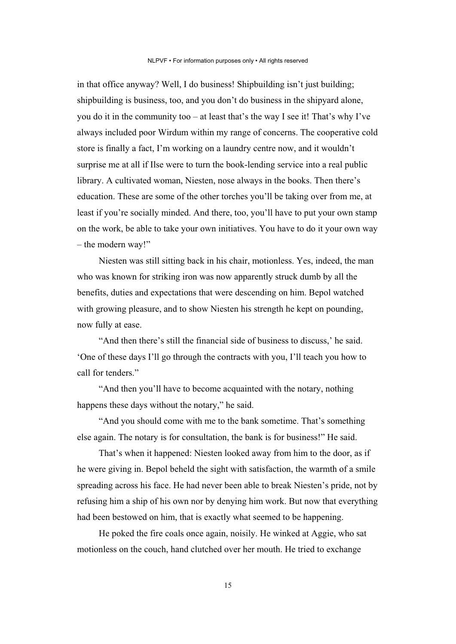in that office anyway? Well, I do business! Shipbuilding isn't just building; shipbuilding is business, too, and you don't do business in the shipyard alone, you do it in the community too – at least that's the way I see it! That's why I've always included poor Wirdum within my range of concerns. The cooperative cold store is finally a fact, I'm working on a laundry centre now, and it wouldn't surprise me at all if Ilse were to turn the book-lending service into a real public library. A cultivated woman, Niesten, nose always in the books. Then there's education. These are some of the other torches you'll be taking over from me, at least if you're socially minded. And there, too, you'll have to put your own stamp on the work, be able to take your own initiatives. You have to do it your own way – the modern way!"

Niesten was still sitting back in his chair, motionless. Yes, indeed, the man who was known for striking iron was now apparently struck dumb by all the benefits, duties and expectations that were descending on him. Bepol watched with growing pleasure, and to show Niesten his strength he kept on pounding, now fully at ease.

"And then there's still the financial side of business to discuss,' he said. 'One of these days I'll go through the contracts with you, I'll teach you how to call for tenders."

"And then you'll have to become acquainted with the notary, nothing happens these days without the notary," he said.

"And you should come with me to the bank sometime. That's something else again. The notary is for consultation, the bank is for business!" He said.

That's when it happened: Niesten looked away from him to the door, as if he were giving in. Bepol beheld the sight with satisfaction, the warmth of a smile spreading across his face. He had never been able to break Niesten's pride, not by refusing him a ship of his own nor by denying him work. But now that everything had been bestowed on him, that is exactly what seemed to be happening.

He poked the fire coals once again, noisily. He winked at Aggie, who sat motionless on the couch, hand clutched over her mouth. He tried to exchange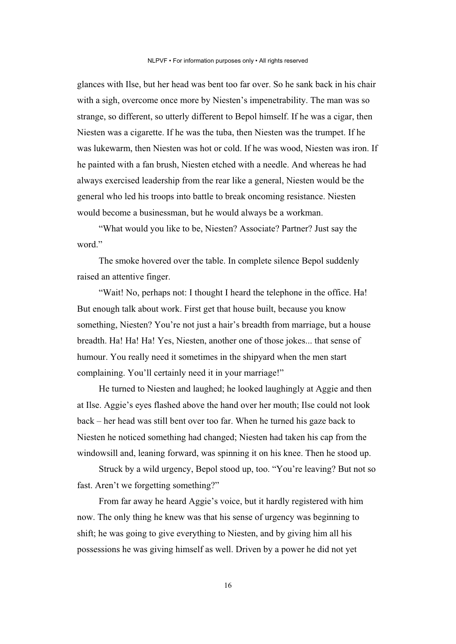glances with Ilse, but her head was bent too far over. So he sank back in his chair with a sigh, overcome once more by Niesten's impenetrability. The man was so strange, so different, so utterly different to Bepol himself. If he was a cigar, then Niesten was a cigarette. If he was the tuba, then Niesten was the trumpet. If he was lukewarm, then Niesten was hot or cold. If he was wood, Niesten was iron. If he painted with a fan brush, Niesten etched with a needle. And whereas he had always exercised leadership from the rear like a general, Niesten would be the general who led his troops into battle to break oncoming resistance. Niesten would become a businessman, but he would always be a workman.

"What would you like to be, Niesten? Associate? Partner? Just say the word."

The smoke hovered over the table. In complete silence Bepol suddenly raised an attentive finger.

"Wait! No, perhaps not: I thought I heard the telephone in the office. Ha! But enough talk about work. First get that house built, because you know something, Niesten? You're not just a hair's breadth from marriage, but a house breadth. Ha! Ha! Ha! Yes, Niesten, another one of those jokes... that sense of humour. You really need it sometimes in the shipyard when the men start complaining. You'll certainly need it in your marriage!"

He turned to Niesten and laughed; he looked laughingly at Aggie and then at Ilse. Aggie's eyes flashed above the hand over her mouth; Ilse could not look back – her head was still bent over too far. When he turned his gaze back to Niesten he noticed something had changed; Niesten had taken his cap from the windowsill and, leaning forward, was spinning it on his knee. Then he stood up.

Struck by a wild urgency, Bepol stood up, too. "You're leaving? But not so fast. Aren't we forgetting something?"

From far away he heard Aggie's voice, but it hardly registered with him now. The only thing he knew was that his sense of urgency was beginning to shift; he was going to give everything to Niesten, and by giving him all his possessions he was giving himself as well. Driven by a power he did not yet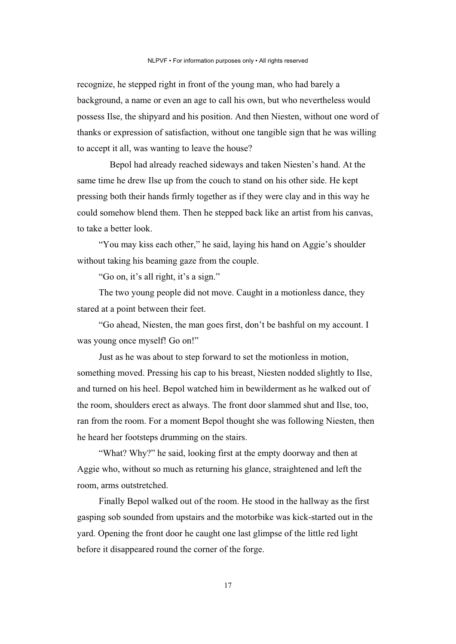recognize, he stepped right in front of the young man, who had barely a background, a name or even an age to call his own, but who nevertheless would possess Ilse, the shipyard and his position. And then Niesten, without one word of thanks or expression of satisfaction, without one tangible sign that he was willing to accept it all, was wanting to leave the house?

 Bepol had already reached sideways and taken Niesten's hand. At the same time he drew Ilse up from the couch to stand on his other side. He kept pressing both their hands firmly together as if they were clay and in this way he could somehow blend them. Then he stepped back like an artist from his canvas, to take a better look.

"You may kiss each other," he said, laying his hand on Aggie's shoulder without taking his beaming gaze from the couple.

"Go on, it's all right, it's a sign."

The two young people did not move. Caught in a motionless dance, they stared at a point between their feet.

"Go ahead, Niesten, the man goes first, don't be bashful on my account. I was young once myself! Go on!"

Just as he was about to step forward to set the motionless in motion, something moved. Pressing his cap to his breast, Niesten nodded slightly to Ilse, and turned on his heel. Bepol watched him in bewilderment as he walked out of the room, shoulders erect as always. The front door slammed shut and Ilse, too, ran from the room. For a moment Bepol thought she was following Niesten, then he heard her footsteps drumming on the stairs.

"What? Why?" he said, looking first at the empty doorway and then at Aggie who, without so much as returning his glance, straightened and left the room, arms outstretched.

Finally Bepol walked out of the room. He stood in the hallway as the first gasping sob sounded from upstairs and the motorbike was kick-started out in the yard. Opening the front door he caught one last glimpse of the little red light before it disappeared round the corner of the forge.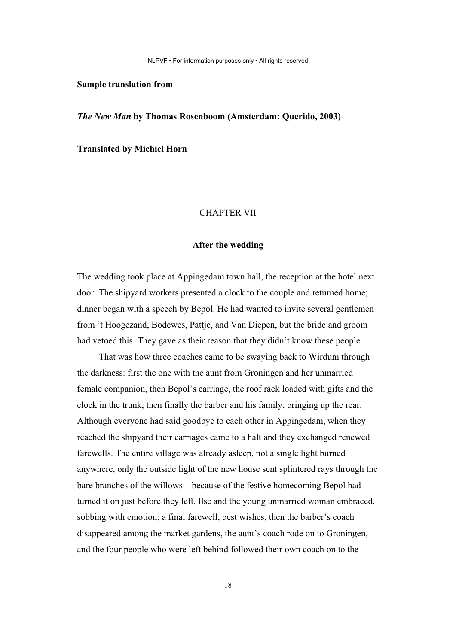NLPVF • For information purposes only • All rights reserved

#### **Sample translation from**

*The New Man* **by Thomas Rosenboom (Amsterdam: Querido, 2003)** 

**Translated by Michiel Horn**

#### CHAPTER VII

#### **After the wedding**

The wedding took place at Appingedam town hall, the reception at the hotel next door. The shipyard workers presented a clock to the couple and returned home; dinner began with a speech by Bepol. He had wanted to invite several gentlemen from 't Hoogezand, Bodewes, Pattje, and Van Diepen, but the bride and groom had vetoed this. They gave as their reason that they didn't know these people.

That was how three coaches came to be swaying back to Wirdum through the darkness: first the one with the aunt from Groningen and her unmarried female companion, then Bepol's carriage, the roof rack loaded with gifts and the clock in the trunk, then finally the barber and his family, bringing up the rear. Although everyone had said goodbye to each other in Appingedam, when they reached the shipyard their carriages came to a halt and they exchanged renewed farewells. The entire village was already asleep, not a single light burned anywhere, only the outside light of the new house sent splintered rays through the bare branches of the willows – because of the festive homecoming Bepol had turned it on just before they left. Ilse and the young unmarried woman embraced, sobbing with emotion; a final farewell, best wishes, then the barber's coach disappeared among the market gardens, the aunt's coach rode on to Groningen, and the four people who were left behind followed their own coach on to the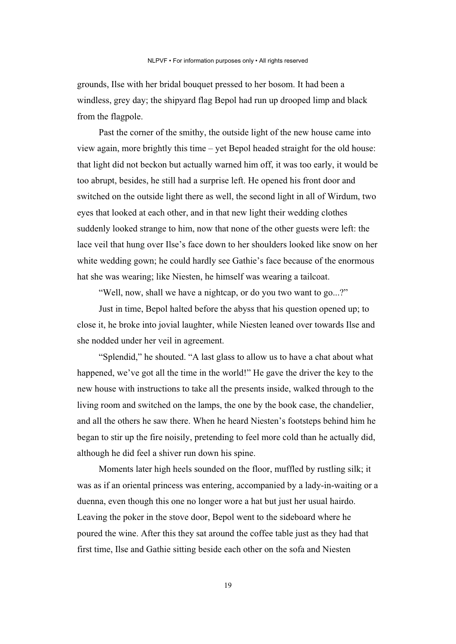grounds, Ilse with her bridal bouquet pressed to her bosom. It had been a windless, grey day; the shipyard flag Bepol had run up drooped limp and black from the flagpole.

Past the corner of the smithy, the outside light of the new house came into view again, more brightly this time – yet Bepol headed straight for the old house: that light did not beckon but actually warned him off, it was too early, it would be too abrupt, besides, he still had a surprise left. He opened his front door and switched on the outside light there as well, the second light in all of Wirdum, two eyes that looked at each other, and in that new light their wedding clothes suddenly looked strange to him, now that none of the other guests were left: the lace veil that hung over Ilse's face down to her shoulders looked like snow on her white wedding gown; he could hardly see Gathie's face because of the enormous hat she was wearing; like Niesten, he himself was wearing a tailcoat.

"Well, now, shall we have a nightcap, or do you two want to go...?"

Just in time, Bepol halted before the abyss that his question opened up; to close it, he broke into jovial laughter, while Niesten leaned over towards Ilse and she nodded under her veil in agreement.

"Splendid," he shouted. "A last glass to allow us to have a chat about what happened, we've got all the time in the world!" He gave the driver the key to the new house with instructions to take all the presents inside, walked through to the living room and switched on the lamps, the one by the book case, the chandelier, and all the others he saw there. When he heard Niesten's footsteps behind him he began to stir up the fire noisily, pretending to feel more cold than he actually did, although he did feel a shiver run down his spine.

Moments later high heels sounded on the floor, muffled by rustling silk; it was as if an oriental princess was entering, accompanied by a lady-in-waiting or a duenna, even though this one no longer wore a hat but just her usual hairdo. Leaving the poker in the stove door, Bepol went to the sideboard where he poured the wine. After this they sat around the coffee table just as they had that first time, Ilse and Gathie sitting beside each other on the sofa and Niesten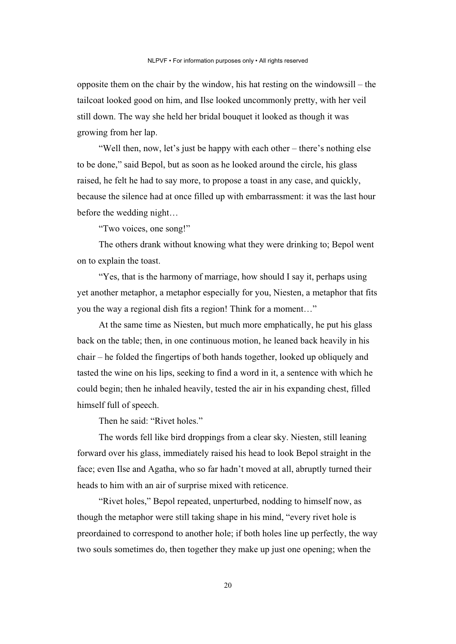opposite them on the chair by the window, his hat resting on the windowsill – the tailcoat looked good on him, and Ilse looked uncommonly pretty, with her veil still down. The way she held her bridal bouquet it looked as though it was growing from her lap.

"Well then, now, let's just be happy with each other – there's nothing else to be done," said Bepol, but as soon as he looked around the circle, his glass raised, he felt he had to say more, to propose a toast in any case, and quickly, because the silence had at once filled up with embarrassment: it was the last hour before the wedding night…

"Two voices, one song!"

The others drank without knowing what they were drinking to; Bepol went on to explain the toast.

"Yes, that is the harmony of marriage, how should I say it, perhaps using yet another metaphor, a metaphor especially for you, Niesten, a metaphor that fits you the way a regional dish fits a region! Think for a moment…"

At the same time as Niesten, but much more emphatically, he put his glass back on the table; then, in one continuous motion, he leaned back heavily in his chair – he folded the fingertips of both hands together, looked up obliquely and tasted the wine on his lips, seeking to find a word in it, a sentence with which he could begin; then he inhaled heavily, tested the air in his expanding chest, filled himself full of speech.

Then he said: "Rivet holes."

The words fell like bird droppings from a clear sky. Niesten, still leaning forward over his glass, immediately raised his head to look Bepol straight in the face; even Ilse and Agatha, who so far hadn't moved at all, abruptly turned their heads to him with an air of surprise mixed with reticence.

"Rivet holes," Bepol repeated, unperturbed, nodding to himself now, as though the metaphor were still taking shape in his mind, "every rivet hole is preordained to correspond to another hole; if both holes line up perfectly, the way two souls sometimes do, then together they make up just one opening; when the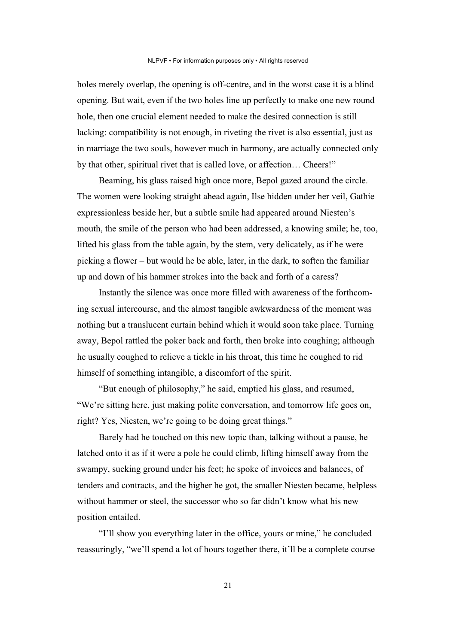holes merely overlap, the opening is off-centre, and in the worst case it is a blind opening. But wait, even if the two holes line up perfectly to make one new round hole, then one crucial element needed to make the desired connection is still lacking: compatibility is not enough, in riveting the rivet is also essential, just as in marriage the two souls, however much in harmony, are actually connected only by that other, spiritual rivet that is called love, or affection… Cheers!"

Beaming, his glass raised high once more, Bepol gazed around the circle. The women were looking straight ahead again, Ilse hidden under her veil, Gathie expressionless beside her, but a subtle smile had appeared around Niesten's mouth, the smile of the person who had been addressed, a knowing smile; he, too, lifted his glass from the table again, by the stem, very delicately, as if he were picking a flower – but would he be able, later, in the dark, to soften the familiar up and down of his hammer strokes into the back and forth of a caress?

Instantly the silence was once more filled with awareness of the forthcoming sexual intercourse, and the almost tangible awkwardness of the moment was nothing but a translucent curtain behind which it would soon take place. Turning away, Bepol rattled the poker back and forth, then broke into coughing; although he usually coughed to relieve a tickle in his throat, this time he coughed to rid himself of something intangible, a discomfort of the spirit.

"But enough of philosophy," he said, emptied his glass, and resumed, "We're sitting here, just making polite conversation, and tomorrow life goes on, right? Yes, Niesten, we're going to be doing great things."

Barely had he touched on this new topic than, talking without a pause, he latched onto it as if it were a pole he could climb, lifting himself away from the swampy, sucking ground under his feet; he spoke of invoices and balances, of tenders and contracts, and the higher he got, the smaller Niesten became, helpless without hammer or steel, the successor who so far didn't know what his new position entailed.

"I'll show you everything later in the office, yours or mine," he concluded reassuringly, "we'll spend a lot of hours together there, it'll be a complete course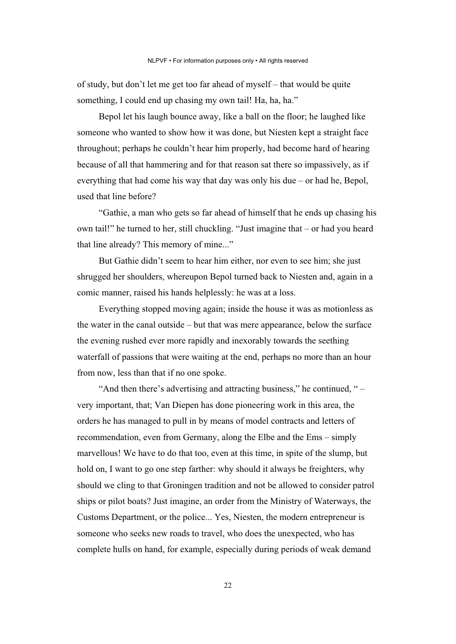of study, but don't let me get too far ahead of myself – that would be quite something, I could end up chasing my own tail! Ha, ha, ha."

Bepol let his laugh bounce away, like a ball on the floor; he laughed like someone who wanted to show how it was done, but Niesten kept a straight face throughout; perhaps he couldn't hear him properly, had become hard of hearing because of all that hammering and for that reason sat there so impassively, as if everything that had come his way that day was only his due – or had he, Bepol, used that line before?

"Gathie, a man who gets so far ahead of himself that he ends up chasing his own tail!" he turned to her, still chuckling. "Just imagine that – or had you heard that line already? This memory of mine..."

But Gathie didn't seem to hear him either, nor even to see him; she just shrugged her shoulders, whereupon Bepol turned back to Niesten and, again in a comic manner, raised his hands helplessly: he was at a loss.

Everything stopped moving again; inside the house it was as motionless as the water in the canal outside – but that was mere appearance, below the surface the evening rushed ever more rapidly and inexorably towards the seething waterfall of passions that were waiting at the end, perhaps no more than an hour from now, less than that if no one spoke.

"And then there's advertising and attracting business," he continued, " – very important, that; Van Diepen has done pioneering work in this area, the orders he has managed to pull in by means of model contracts and letters of recommendation, even from Germany, along the Elbe and the Ems – simply marvellous! We have to do that too, even at this time, in spite of the slump, but hold on, I want to go one step farther: why should it always be freighters, why should we cling to that Groningen tradition and not be allowed to consider patrol ships or pilot boats? Just imagine, an order from the Ministry of Waterways, the Customs Department, or the police... Yes, Niesten, the modern entrepreneur is someone who seeks new roads to travel, who does the unexpected, who has complete hulls on hand, for example, especially during periods of weak demand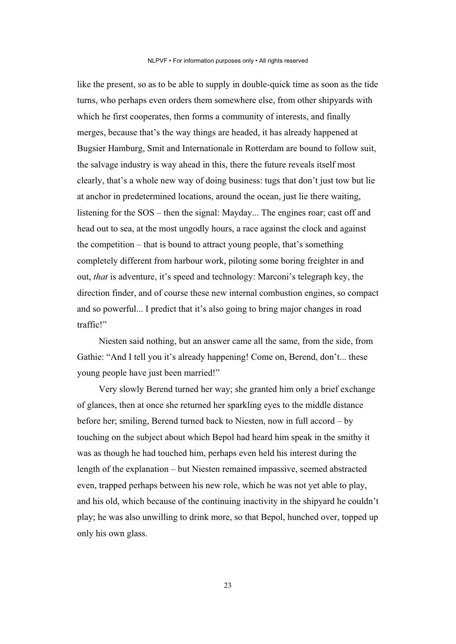like the present, so as to be able to supply in double-quick time as soon as the tide turns, who perhaps even orders them somewhere else, from other shipyards with which he first cooperates, then forms a community of interests, and finally merges, because that's the way things are headed, it has already happened at Bugsier Hamburg, Smit and Internationale in Rotterdam are bound to follow suit, the salvage industry is way ahead in this, there the future reveals itself most clearly, that's a whole new way of doing business: tugs that don't just tow but lie at anchor in predetermined locations, around the ocean, just lie there waiting, listening for the SOS – then the signal: Mayday... The engines roar; cast off and head out to sea, at the most ungodly hours, a race against the clock and against the competition – that is bound to attract young people, that's something completely different from harbour work, piloting some boring freighter in and out, *that* is adventure, it's speed and technology: Marconi's telegraph key, the direction finder, and of course these new internal combustion engines, so compact and so powerful... I predict that it's also going to bring major changes in road traffic!"

Niesten said nothing, but an answer came all the same, from the side, from Gathie: "And I tell you it's already happening! Come on, Berend, don't... these young people have just been married!"

Very slowly Berend turned her way; she granted him only a brief exchange of glances, then at once she returned her sparkling eyes to the middle distance before her; smiling, Berend turned back to Niesten, now in full accord – by touching on the subject about which Bepol had heard him speak in the smithy it was as though he had touched him, perhaps even held his interest during the length of the explanation – but Niesten remained impassive, seemed abstracted even, trapped perhaps between his new role, which he was not yet able to play, and his old, which because of the continuing inactivity in the shipyard he couldn't play; he was also unwilling to drink more, so that Bepol, hunched over, topped up only his own glass.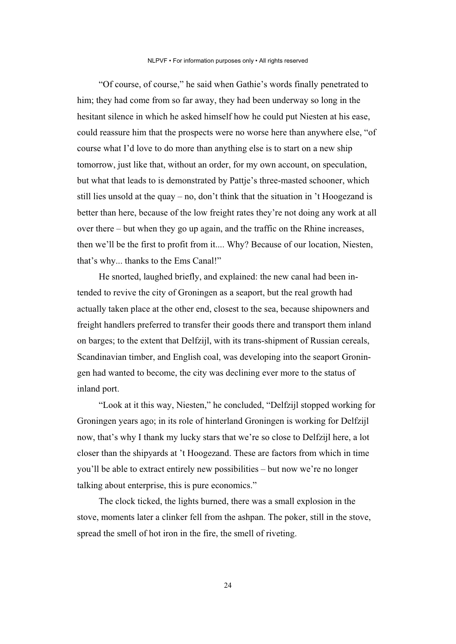"Of course, of course," he said when Gathie's words finally penetrated to him; they had come from so far away, they had been underway so long in the hesitant silence in which he asked himself how he could put Niesten at his ease, could reassure him that the prospects were no worse here than anywhere else, "of course what I'd love to do more than anything else is to start on a new ship tomorrow, just like that, without an order, for my own account, on speculation, but what that leads to is demonstrated by Pattje's three-masted schooner, which still lies unsold at the quay – no, don't think that the situation in 't Hoogezand is better than here, because of the low freight rates they're not doing any work at all over there – but when they go up again, and the traffic on the Rhine increases, then we'll be the first to profit from it.... Why? Because of our location, Niesten, that's why... thanks to the Ems Canal!"

He snorted, laughed briefly, and explained: the new canal had been intended to revive the city of Groningen as a seaport, but the real growth had actually taken place at the other end, closest to the sea, because shipowners and freight handlers preferred to transfer their goods there and transport them inland on barges; to the extent that Delfzijl, with its trans-shipment of Russian cereals, Scandinavian timber, and English coal, was developing into the seaport Groningen had wanted to become, the city was declining ever more to the status of inland port.

"Look at it this way, Niesten," he concluded, "Delfzijl stopped working for Groningen years ago; in its role of hinterland Groningen is working for Delfzijl now, that's why I thank my lucky stars that we're so close to Delfzijl here, a lot closer than the shipyards at 't Hoogezand. These are factors from which in time you'll be able to extract entirely new possibilities – but now we're no longer talking about enterprise, this is pure economics."

The clock ticked, the lights burned, there was a small explosion in the stove, moments later a clinker fell from the ashpan. The poker, still in the stove, spread the smell of hot iron in the fire, the smell of riveting.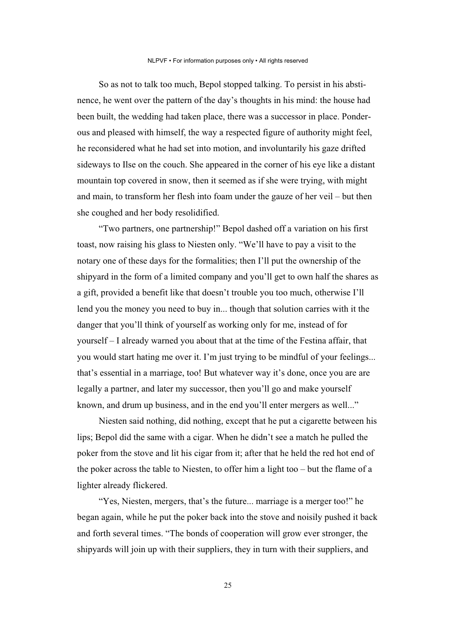So as not to talk too much, Bepol stopped talking. To persist in his abstinence, he went over the pattern of the day's thoughts in his mind: the house had been built, the wedding had taken place, there was a successor in place. Ponderous and pleased with himself, the way a respected figure of authority might feel, he reconsidered what he had set into motion, and involuntarily his gaze drifted sideways to Ilse on the couch. She appeared in the corner of his eye like a distant mountain top covered in snow, then it seemed as if she were trying, with might and main, to transform her flesh into foam under the gauze of her veil – but then she coughed and her body resolidified.

"Two partners, one partnership!" Bepol dashed off a variation on his first toast, now raising his glass to Niesten only. "We'll have to pay a visit to the notary one of these days for the formalities; then I'll put the ownership of the shipyard in the form of a limited company and you'll get to own half the shares as a gift, provided a benefit like that doesn't trouble you too much, otherwise I'll lend you the money you need to buy in... though that solution carries with it the danger that you'll think of yourself as working only for me, instead of for yourself – I already warned you about that at the time of the Festina affair, that you would start hating me over it. I'm just trying to be mindful of your feelings... that's essential in a marriage, too! But whatever way it's done, once you are are legally a partner, and later my successor, then you'll go and make yourself known, and drum up business, and in the end you'll enter mergers as well..."

Niesten said nothing, did nothing, except that he put a cigarette between his lips; Bepol did the same with a cigar. When he didn't see a match he pulled the poker from the stove and lit his cigar from it; after that he held the red hot end of the poker across the table to Niesten, to offer him a light too – but the flame of a lighter already flickered.

"Yes, Niesten, mergers, that's the future... marriage is a merger too!" he began again, while he put the poker back into the stove and noisily pushed it back and forth several times. "The bonds of cooperation will grow ever stronger, the shipyards will join up with their suppliers, they in turn with their suppliers, and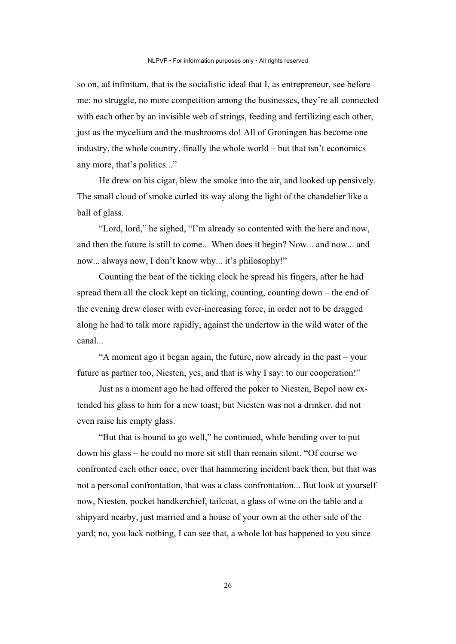so on, ad infinitum, that is the socialistic ideal that I, as entrepreneur, see before me: no struggle, no more competition among the businesses, they're all connected with each other by an invisible web of strings, feeding and fertilizing each other, just as the mycelium and the mushrooms do! All of Groningen has become one industry, the whole country, finally the whole world – but that isn't economics any more, that's politics..."

He drew on his cigar, blew the smoke into the air, and looked up pensively. The small cloud of smoke curled its way along the light of the chandelier like a ball of glass.

"Lord, lord," he sighed, "I'm already so contented with the here and now, and then the future is still to come... When does it begin? Now... and now... and now... always now, I don't know why... it's philosophy!"

Counting the beat of the ticking clock he spread his fingers, after he had spread them all the clock kept on ticking, counting, counting down – the end of the evening drew closer with ever-increasing force, in order not to be dragged along he had to talk more rapidly, against the undertow in the wild water of the canal...

"A moment ago it began again, the future, now already in the past – your future as partner too, Niesten, yes, and that is why I say: to our cooperation!"

Just as a moment ago he had offered the poker to Niesten, Bepol now extended his glass to him for a new toast; but Niesten was not a drinker, did not even raise his empty glass.

"But that is bound to go well," he continued, while bending over to put down his glass – he could no more sit still than remain silent. "Of course we confronted each other once, over that hammering incident back then, but that was not a personal confrontation, that was a class confrontation... But look at yourself now, Niesten, pocket handkerchief, tailcoat, a glass of wine on the table and a shipyard nearby, just married and a house of your own at the other side of the yard; no, you lack nothing, I can see that, a whole lot has happened to you since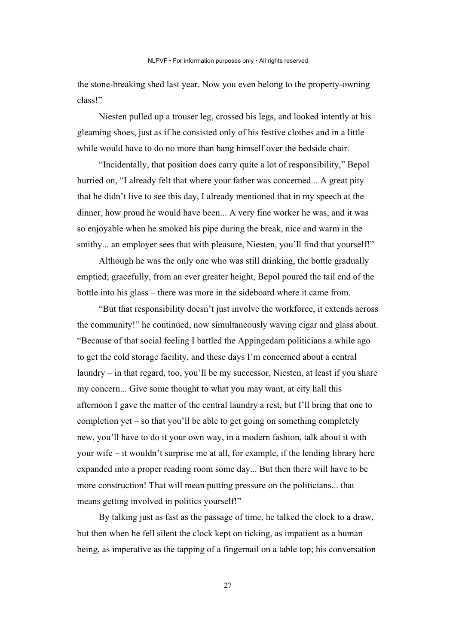the stone-breaking shed last year. Now you even belong to the property-owning class!"

Niesten pulled up a trouser leg, crossed his legs, and looked intently at his gleaming shoes, just as if he consisted only of his festive clothes and in a little while would have to do no more than hang himself over the bedside chair.

"Incidentally, that position does carry quite a lot of responsibility," Bepol hurried on, "I already felt that where your father was concerned... A great pity that he didn't live to see this day, I already mentioned that in my speech at the dinner, how proud he would have been... A very fine worker he was, and it was so enjoyable when he smoked his pipe during the break, nice and warm in the smithy... an employer sees that with pleasure, Niesten, you'll find that yourself!"

Although he was the only one who was still drinking, the bottle gradually emptied; gracefully, from an ever greater height, Bepol poured the tail end of the bottle into his glass – there was more in the sideboard where it came from.

"But that responsibility doesn't just involve the workforce, it extends across the community!" he continued, now simultaneously waving cigar and glass about. "Because of that social feeling I battled the Appingedam politicians a while ago to get the cold storage facility, and these days I'm concerned about a central laundry – in that regard, too, you'll be my successor, Niesten, at least if you share my concern... Give some thought to what you may want, at city hall this afternoon I gave the matter of the central laundry a rest, but I'll bring that one to completion yet – so that you'll be able to get going on something completely new, you'll have to do it your own way, in a modern fashion, talk about it with your wife – it wouldn't surprise me at all, for example, if the lending library here expanded into a proper reading room some day... But then there will have to be more construction! That will mean putting pressure on the politicians... that means getting involved in politics yourself!"

By talking just as fast as the passage of time, he talked the clock to a draw, but then when he fell silent the clock kept on ticking, as impatient as a human being, as imperative as the tapping of a fingernail on a table top; his conversation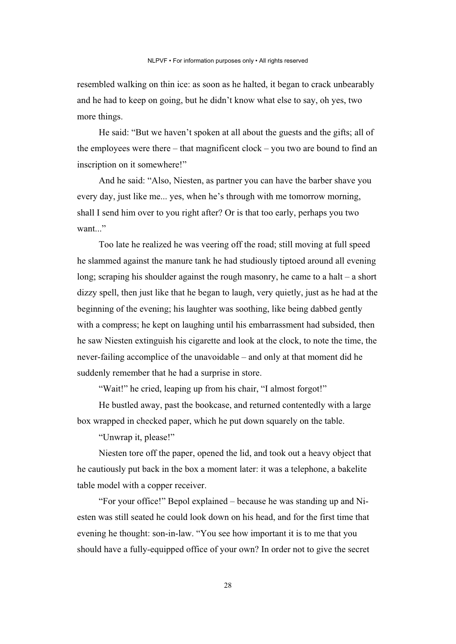resembled walking on thin ice: as soon as he halted, it began to crack unbearably and he had to keep on going, but he didn't know what else to say, oh yes, two more things.

He said: "But we haven't spoken at all about the guests and the gifts; all of the employees were there – that magnificent clock – you two are bound to find an inscription on it somewhere!"

And he said: "Also, Niesten, as partner you can have the barber shave you every day, just like me... yes, when he's through with me tomorrow morning, shall I send him over to you right after? Or is that too early, perhaps you two want..."

Too late he realized he was veering off the road; still moving at full speed he slammed against the manure tank he had studiously tiptoed around all evening long; scraping his shoulder against the rough masonry, he came to a halt – a short dizzy spell, then just like that he began to laugh, very quietly, just as he had at the beginning of the evening; his laughter was soothing, like being dabbed gently with a compress; he kept on laughing until his embarrassment had subsided, then he saw Niesten extinguish his cigarette and look at the clock, to note the time, the never-failing accomplice of the unavoidable – and only at that moment did he suddenly remember that he had a surprise in store.

"Wait!" he cried, leaping up from his chair, "I almost forgot!"

He bustled away, past the bookcase, and returned contentedly with a large box wrapped in checked paper, which he put down squarely on the table.

"Unwrap it, please!"

Niesten tore off the paper, opened the lid, and took out a heavy object that he cautiously put back in the box a moment later: it was a telephone, a bakelite table model with a copper receiver.

"For your office!" Bepol explained – because he was standing up and Niesten was still seated he could look down on his head, and for the first time that evening he thought: son-in-law. "You see how important it is to me that you should have a fully-equipped office of your own? In order not to give the secret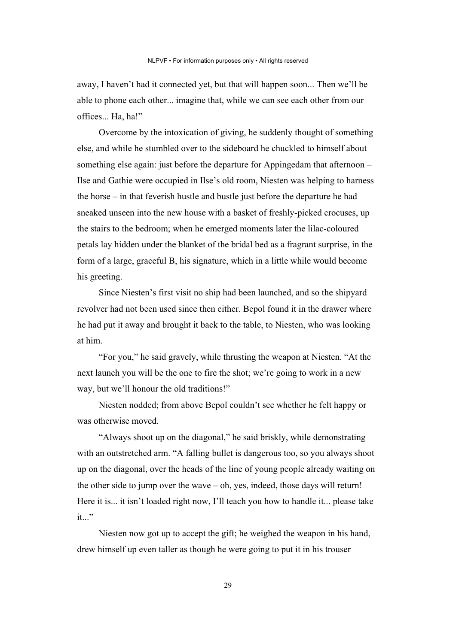away, I haven't had it connected yet, but that will happen soon... Then we'll be able to phone each other... imagine that, while we can see each other from our offices... Ha, ha!"

Overcome by the intoxication of giving, he suddenly thought of something else, and while he stumbled over to the sideboard he chuckled to himself about something else again: just before the departure for Appingedam that afternoon – Ilse and Gathie were occupied in Ilse's old room, Niesten was helping to harness the horse – in that feverish hustle and bustle just before the departure he had sneaked unseen into the new house with a basket of freshly-picked crocuses, up the stairs to the bedroom; when he emerged moments later the lilac-coloured petals lay hidden under the blanket of the bridal bed as a fragrant surprise, in the form of a large, graceful B, his signature, which in a little while would become his greeting.

Since Niesten's first visit no ship had been launched, and so the shipyard revolver had not been used since then either. Bepol found it in the drawer where he had put it away and brought it back to the table, to Niesten, who was looking at him.

"For you," he said gravely, while thrusting the weapon at Niesten. "At the next launch you will be the one to fire the shot; we're going to work in a new way, but we'll honour the old traditions!"

Niesten nodded; from above Bepol couldn't see whether he felt happy or was otherwise moved.

"Always shoot up on the diagonal," he said briskly, while demonstrating with an outstretched arm. "A falling bullet is dangerous too, so you always shoot up on the diagonal, over the heads of the line of young people already waiting on the other side to jump over the wave  $-$  oh, yes, indeed, those days will return! Here it is... it isn't loaded right now, I'll teach you how to handle it... please take it..."

Niesten now got up to accept the gift; he weighed the weapon in his hand, drew himself up even taller as though he were going to put it in his trouser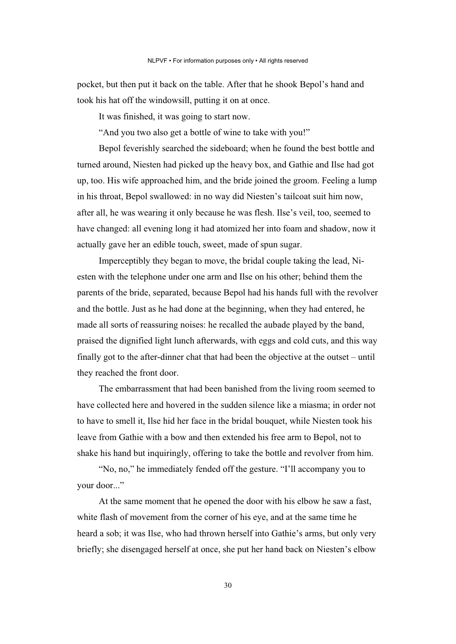pocket, but then put it back on the table. After that he shook Bepol's hand and took his hat off the windowsill, putting it on at once.

It was finished, it was going to start now.

"And you two also get a bottle of wine to take with you!"

Bepol feverishly searched the sideboard; when he found the best bottle and turned around, Niesten had picked up the heavy box, and Gathie and Ilse had got up, too. His wife approached him, and the bride joined the groom. Feeling a lump in his throat, Bepol swallowed: in no way did Niesten's tailcoat suit him now, after all, he was wearing it only because he was flesh. Ilse's veil, too, seemed to have changed: all evening long it had atomized her into foam and shadow, now it actually gave her an edible touch, sweet, made of spun sugar.

Imperceptibly they began to move, the bridal couple taking the lead, Niesten with the telephone under one arm and Ilse on his other; behind them the parents of the bride, separated, because Bepol had his hands full with the revolver and the bottle. Just as he had done at the beginning, when they had entered, he made all sorts of reassuring noises: he recalled the aubade played by the band, praised the dignified light lunch afterwards, with eggs and cold cuts, and this way finally got to the after-dinner chat that had been the objective at the outset – until they reached the front door.

The embarrassment that had been banished from the living room seemed to have collected here and hovered in the sudden silence like a miasma; in order not to have to smell it, Ilse hid her face in the bridal bouquet, while Niesten took his leave from Gathie with a bow and then extended his free arm to Bepol, not to shake his hand but inquiringly, offering to take the bottle and revolver from him.

"No, no," he immediately fended off the gesture. "I'll accompany you to your door..."

At the same moment that he opened the door with his elbow he saw a fast, white flash of movement from the corner of his eye, and at the same time he heard a sob; it was Ilse, who had thrown herself into Gathie's arms, but only very briefly; she disengaged herself at once, she put her hand back on Niesten's elbow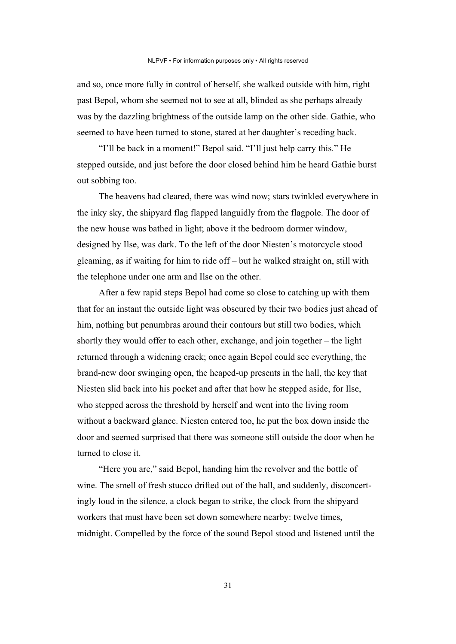and so, once more fully in control of herself, she walked outside with him, right past Bepol, whom she seemed not to see at all, blinded as she perhaps already was by the dazzling brightness of the outside lamp on the other side. Gathie, who seemed to have been turned to stone, stared at her daughter's receding back.

"I'll be back in a moment!" Bepol said. "I'll just help carry this." He stepped outside, and just before the door closed behind him he heard Gathie burst out sobbing too.

The heavens had cleared, there was wind now; stars twinkled everywhere in the inky sky, the shipyard flag flapped languidly from the flagpole. The door of the new house was bathed in light; above it the bedroom dormer window, designed by Ilse, was dark. To the left of the door Niesten's motorcycle stood gleaming, as if waiting for him to ride off – but he walked straight on, still with the telephone under one arm and Ilse on the other.

After a few rapid steps Bepol had come so close to catching up with them that for an instant the outside light was obscured by their two bodies just ahead of him, nothing but penumbras around their contours but still two bodies, which shortly they would offer to each other, exchange, and join together – the light returned through a widening crack; once again Bepol could see everything, the brand-new door swinging open, the heaped-up presents in the hall, the key that Niesten slid back into his pocket and after that how he stepped aside, for Ilse, who stepped across the threshold by herself and went into the living room without a backward glance. Niesten entered too, he put the box down inside the door and seemed surprised that there was someone still outside the door when he turned to close it.

"Here you are," said Bepol, handing him the revolver and the bottle of wine. The smell of fresh stucco drifted out of the hall, and suddenly, disconcertingly loud in the silence, a clock began to strike, the clock from the shipyard workers that must have been set down somewhere nearby: twelve times, midnight. Compelled by the force of the sound Bepol stood and listened until the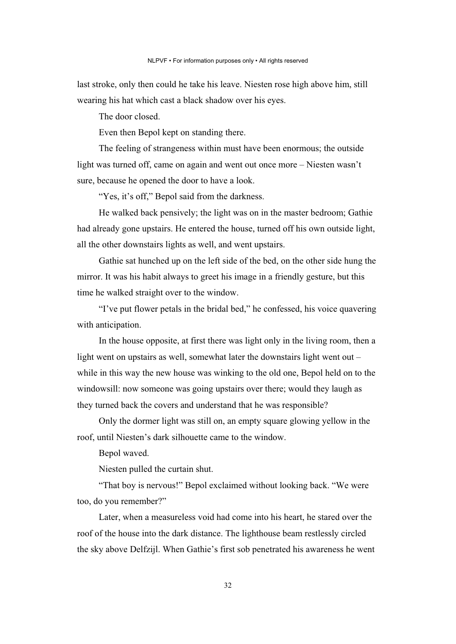last stroke, only then could he take his leave. Niesten rose high above him, still wearing his hat which cast a black shadow over his eyes.

The door closed.

Even then Bepol kept on standing there.

The feeling of strangeness within must have been enormous; the outside light was turned off, came on again and went out once more – Niesten wasn't sure, because he opened the door to have a look.

"Yes, it's off," Bepol said from the darkness.

He walked back pensively; the light was on in the master bedroom; Gathie had already gone upstairs. He entered the house, turned off his own outside light, all the other downstairs lights as well, and went upstairs.

Gathie sat hunched up on the left side of the bed, on the other side hung the mirror. It was his habit always to greet his image in a friendly gesture, but this time he walked straight over to the window.

"I've put flower petals in the bridal bed," he confessed, his voice quavering with anticipation.

In the house opposite, at first there was light only in the living room, then a light went on upstairs as well, somewhat later the downstairs light went out – while in this way the new house was winking to the old one, Bepol held on to the windowsill: now someone was going upstairs over there; would they laugh as they turned back the covers and understand that he was responsible?

Only the dormer light was still on, an empty square glowing yellow in the roof, until Niesten's dark silhouette came to the window.

Bepol waved.

Niesten pulled the curtain shut.

"That boy is nervous!" Bepol exclaimed without looking back. "We were too, do you remember?"

Later, when a measureless void had come into his heart, he stared over the roof of the house into the dark distance. The lighthouse beam restlessly circled the sky above Delfzijl. When Gathie's first sob penetrated his awareness he went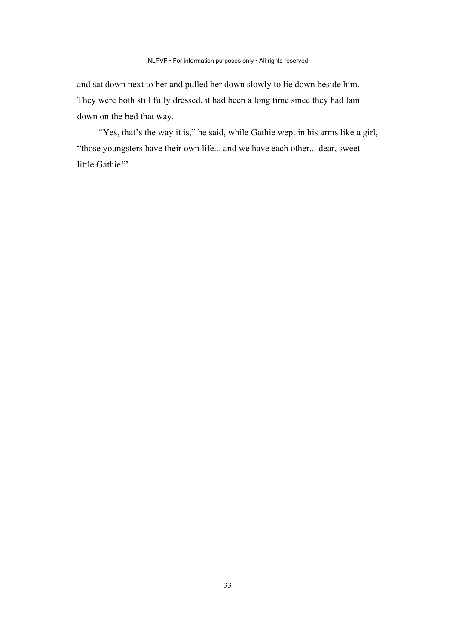and sat down next to her and pulled her down slowly to lie down beside him. They were both still fully dressed, it had been a long time since they had lain down on the bed that way.

"Yes, that's the way it is," he said, while Gathie wept in his arms like a girl, "those youngsters have their own life... and we have each other... dear, sweet little Gathie!"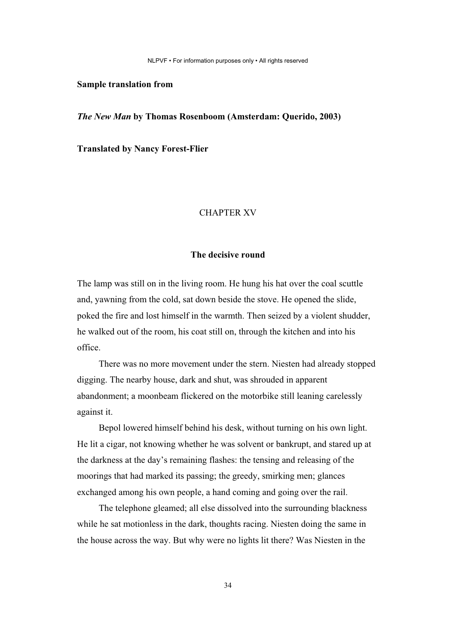NLPVF • For information purposes only • All rights reserved

#### **Sample translation from**

*The New Man* **by Thomas Rosenboom (Amsterdam: Querido, 2003)** 

**Translated by Nancy Forest-Flier**

#### CHAPTER XV

#### **The decisive round**

The lamp was still on in the living room. He hung his hat over the coal scuttle and, yawning from the cold, sat down beside the stove. He opened the slide, poked the fire and lost himself in the warmth. Then seized by a violent shudder, he walked out of the room, his coat still on, through the kitchen and into his office.

There was no more movement under the stern. Niesten had already stopped digging. The nearby house, dark and shut, was shrouded in apparent abandonment; a moonbeam flickered on the motorbike still leaning carelessly against it.

Bepol lowered himself behind his desk, without turning on his own light. He lit a cigar, not knowing whether he was solvent or bankrupt, and stared up at the darkness at the day's remaining flashes: the tensing and releasing of the moorings that had marked its passing; the greedy, smirking men; glances exchanged among his own people, a hand coming and going over the rail.

The telephone gleamed; all else dissolved into the surrounding blackness while he sat motionless in the dark, thoughts racing. Niesten doing the same in the house across the way. But why were no lights lit there? Was Niesten in the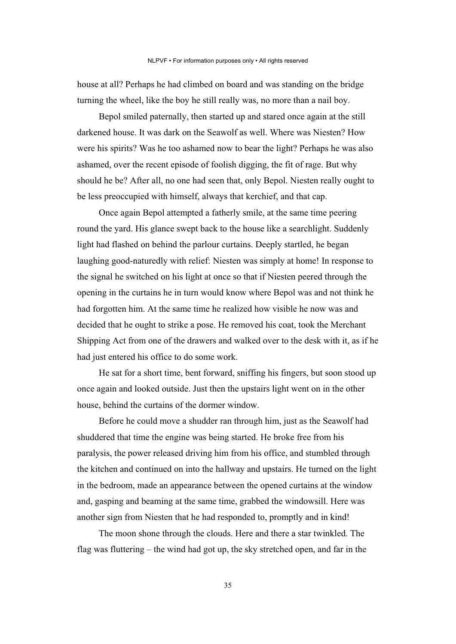house at all? Perhaps he had climbed on board and was standing on the bridge turning the wheel, like the boy he still really was, no more than a nail boy.

Bepol smiled paternally, then started up and stared once again at the still darkened house. It was dark on the Seawolf as well. Where was Niesten? How were his spirits? Was he too ashamed now to bear the light? Perhaps he was also ashamed, over the recent episode of foolish digging, the fit of rage. But why should he be? After all, no one had seen that, only Bepol. Niesten really ought to be less preoccupied with himself, always that kerchief, and that cap.

Once again Bepol attempted a fatherly smile, at the same time peering round the yard. His glance swept back to the house like a searchlight. Suddenly light had flashed on behind the parlour curtains. Deeply startled, he began laughing good-naturedly with relief: Niesten was simply at home! In response to the signal he switched on his light at once so that if Niesten peered through the opening in the curtains he in turn would know where Bepol was and not think he had forgotten him. At the same time he realized how visible he now was and decided that he ought to strike a pose. He removed his coat, took the Merchant Shipping Act from one of the drawers and walked over to the desk with it, as if he had just entered his office to do some work.

He sat for a short time, bent forward, sniffing his fingers, but soon stood up once again and looked outside. Just then the upstairs light went on in the other house, behind the curtains of the dormer window.

Before he could move a shudder ran through him, just as the Seawolf had shuddered that time the engine was being started. He broke free from his paralysis, the power released driving him from his office, and stumbled through the kitchen and continued on into the hallway and upstairs. He turned on the light in the bedroom, made an appearance between the opened curtains at the window and, gasping and beaming at the same time, grabbed the windowsill. Here was another sign from Niesten that he had responded to, promptly and in kind!

The moon shone through the clouds. Here and there a star twinkled. The flag was fluttering – the wind had got up, the sky stretched open, and far in the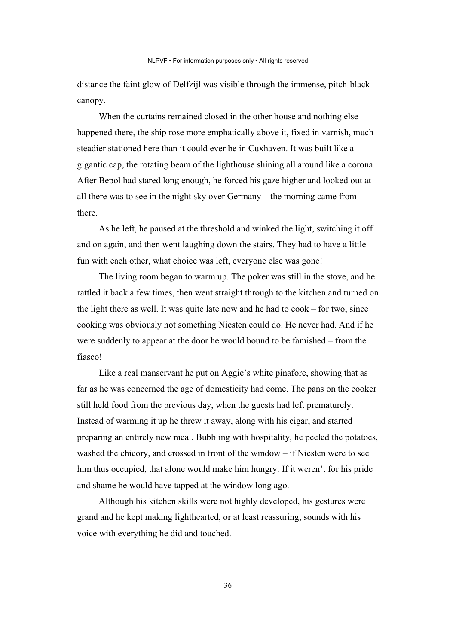distance the faint glow of Delfzijl was visible through the immense, pitch-black canopy.

When the curtains remained closed in the other house and nothing else happened there, the ship rose more emphatically above it, fixed in varnish, much steadier stationed here than it could ever be in Cuxhaven. It was built like a gigantic cap, the rotating beam of the lighthouse shining all around like a corona. After Bepol had stared long enough, he forced his gaze higher and looked out at all there was to see in the night sky over Germany – the morning came from there.

As he left, he paused at the threshold and winked the light, switching it off and on again, and then went laughing down the stairs. They had to have a little fun with each other, what choice was left, everyone else was gone!

The living room began to warm up. The poker was still in the stove, and he rattled it back a few times, then went straight through to the kitchen and turned on the light there as well. It was quite late now and he had to cook – for two, since cooking was obviously not something Niesten could do. He never had. And if he were suddenly to appear at the door he would bound to be famished – from the fiasco!

Like a real manservant he put on Aggie's white pinafore, showing that as far as he was concerned the age of domesticity had come. The pans on the cooker still held food from the previous day, when the guests had left prematurely. Instead of warming it up he threw it away, along with his cigar, and started preparing an entirely new meal. Bubbling with hospitality, he peeled the potatoes, washed the chicory, and crossed in front of the window – if Niesten were to see him thus occupied, that alone would make him hungry. If it weren't for his pride and shame he would have tapped at the window long ago.

Although his kitchen skills were not highly developed, his gestures were grand and he kept making lighthearted, or at least reassuring, sounds with his voice with everything he did and touched.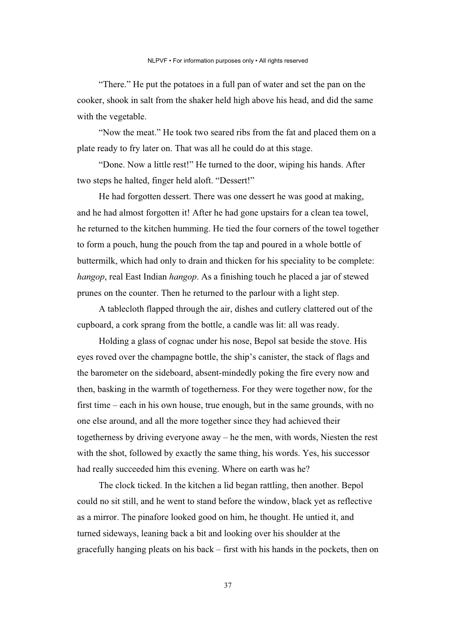"There." He put the potatoes in a full pan of water and set the pan on the cooker, shook in salt from the shaker held high above his head, and did the same with the vegetable.

"Now the meat." He took two seared ribs from the fat and placed them on a plate ready to fry later on. That was all he could do at this stage.

"Done. Now a little rest!" He turned to the door, wiping his hands. After two steps he halted, finger held aloft. "Dessert!"

He had forgotten dessert. There was one dessert he was good at making, and he had almost forgotten it! After he had gone upstairs for a clean tea towel, he returned to the kitchen humming. He tied the four corners of the towel together to form a pouch, hung the pouch from the tap and poured in a whole bottle of buttermilk, which had only to drain and thicken for his speciality to be complete: *hangop*, real East Indian *hangop*. As a finishing touch he placed a jar of stewed prunes on the counter. Then he returned to the parlour with a light step.

A tablecloth flapped through the air, dishes and cutlery clattered out of the cupboard, a cork sprang from the bottle, a candle was lit: all was ready.

Holding a glass of cognac under his nose, Bepol sat beside the stove. His eyes roved over the champagne bottle, the ship's canister, the stack of flags and the barometer on the sideboard, absent-mindedly poking the fire every now and then, basking in the warmth of togetherness. For they were together now, for the first time – each in his own house, true enough, but in the same grounds, with no one else around, and all the more together since they had achieved their togetherness by driving everyone away – he the men, with words, Niesten the rest with the shot, followed by exactly the same thing, his words. Yes, his successor had really succeeded him this evening. Where on earth was he?

The clock ticked. In the kitchen a lid began rattling, then another. Bepol could no sit still, and he went to stand before the window, black yet as reflective as a mirror. The pinafore looked good on him, he thought. He untied it, and turned sideways, leaning back a bit and looking over his shoulder at the gracefully hanging pleats on his back – first with his hands in the pockets, then on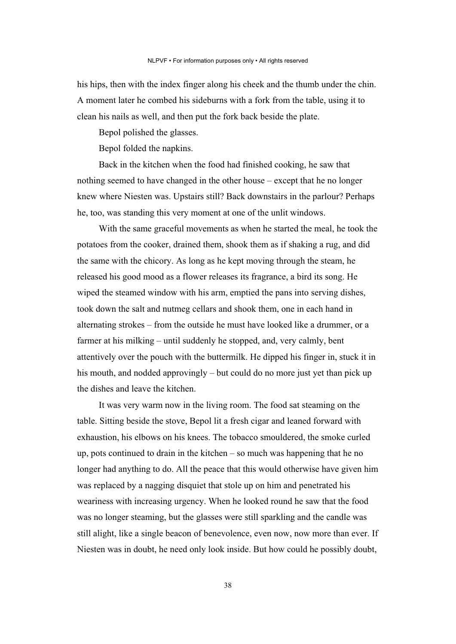his hips, then with the index finger along his cheek and the thumb under the chin. A moment later he combed his sideburns with a fork from the table, using it to clean his nails as well, and then put the fork back beside the plate.

Bepol polished the glasses.

Bepol folded the napkins.

Back in the kitchen when the food had finished cooking, he saw that nothing seemed to have changed in the other house – except that he no longer knew where Niesten was. Upstairs still? Back downstairs in the parlour? Perhaps he, too, was standing this very moment at one of the unlit windows.

With the same graceful movements as when he started the meal, he took the potatoes from the cooker, drained them, shook them as if shaking a rug, and did the same with the chicory. As long as he kept moving through the steam, he released his good mood as a flower releases its fragrance, a bird its song. He wiped the steamed window with his arm, emptied the pans into serving dishes, took down the salt and nutmeg cellars and shook them, one in each hand in alternating strokes – from the outside he must have looked like a drummer, or a farmer at his milking – until suddenly he stopped, and, very calmly, bent attentively over the pouch with the buttermilk. He dipped his finger in, stuck it in his mouth, and nodded approvingly – but could do no more just yet than pick up the dishes and leave the kitchen.

It was very warm now in the living room. The food sat steaming on the table. Sitting beside the stove, Bepol lit a fresh cigar and leaned forward with exhaustion, his elbows on his knees. The tobacco smouldered, the smoke curled up, pots continued to drain in the kitchen – so much was happening that he no longer had anything to do. All the peace that this would otherwise have given him was replaced by a nagging disquiet that stole up on him and penetrated his weariness with increasing urgency. When he looked round he saw that the food was no longer steaming, but the glasses were still sparkling and the candle was still alight, like a single beacon of benevolence, even now, now more than ever. If Niesten was in doubt, he need only look inside. But how could he possibly doubt,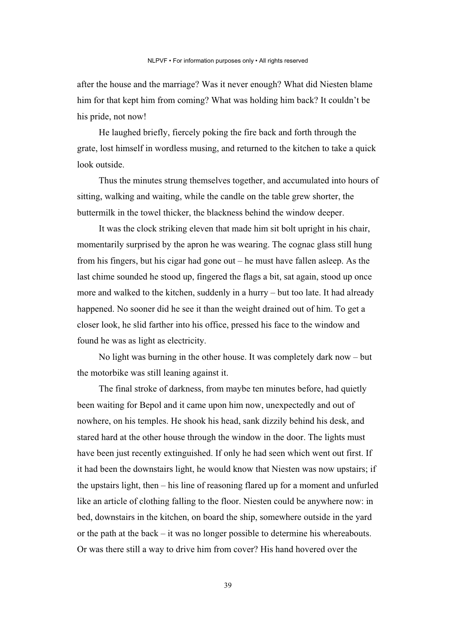after the house and the marriage? Was it never enough? What did Niesten blame him for that kept him from coming? What was holding him back? It couldn't be his pride, not now!

He laughed briefly, fiercely poking the fire back and forth through the grate, lost himself in wordless musing, and returned to the kitchen to take a quick look outside.

Thus the minutes strung themselves together, and accumulated into hours of sitting, walking and waiting, while the candle on the table grew shorter, the buttermilk in the towel thicker, the blackness behind the window deeper.

It was the clock striking eleven that made him sit bolt upright in his chair, momentarily surprised by the apron he was wearing. The cognac glass still hung from his fingers, but his cigar had gone out – he must have fallen asleep. As the last chime sounded he stood up, fingered the flags a bit, sat again, stood up once more and walked to the kitchen, suddenly in a hurry – but too late. It had already happened. No sooner did he see it than the weight drained out of him. To get a closer look, he slid farther into his office, pressed his face to the window and found he was as light as electricity.

No light was burning in the other house. It was completely dark now – but the motorbike was still leaning against it.

The final stroke of darkness, from maybe ten minutes before, had quietly been waiting for Bepol and it came upon him now, unexpectedly and out of nowhere, on his temples. He shook his head, sank dizzily behind his desk, and stared hard at the other house through the window in the door. The lights must have been just recently extinguished. If only he had seen which went out first. If it had been the downstairs light, he would know that Niesten was now upstairs; if the upstairs light, then – his line of reasoning flared up for a moment and unfurled like an article of clothing falling to the floor. Niesten could be anywhere now: in bed, downstairs in the kitchen, on board the ship, somewhere outside in the yard or the path at the back – it was no longer possible to determine his whereabouts. Or was there still a way to drive him from cover? His hand hovered over the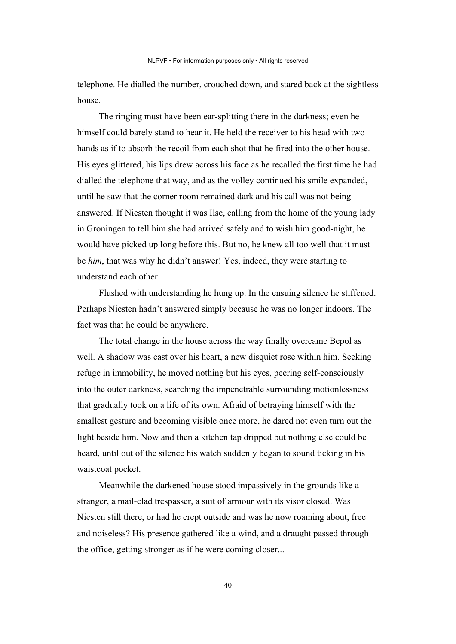telephone. He dialled the number, crouched down, and stared back at the sightless house.

The ringing must have been ear-splitting there in the darkness; even he himself could barely stand to hear it. He held the receiver to his head with two hands as if to absorb the recoil from each shot that he fired into the other house. His eyes glittered, his lips drew across his face as he recalled the first time he had dialled the telephone that way, and as the volley continued his smile expanded, until he saw that the corner room remained dark and his call was not being answered. If Niesten thought it was Ilse, calling from the home of the young lady in Groningen to tell him she had arrived safely and to wish him good-night, he would have picked up long before this. But no, he knew all too well that it must be *him*, that was why he didn't answer! Yes, indeed, they were starting to understand each other.

Flushed with understanding he hung up. In the ensuing silence he stiffened. Perhaps Niesten hadn't answered simply because he was no longer indoors. The fact was that he could be anywhere.

The total change in the house across the way finally overcame Bepol as well. A shadow was cast over his heart, a new disquiet rose within him. Seeking refuge in immobility, he moved nothing but his eyes, peering self-consciously into the outer darkness, searching the impenetrable surrounding motionlessness that gradually took on a life of its own. Afraid of betraying himself with the smallest gesture and becoming visible once more, he dared not even turn out the light beside him. Now and then a kitchen tap dripped but nothing else could be heard, until out of the silence his watch suddenly began to sound ticking in his waistcoat pocket.

Meanwhile the darkened house stood impassively in the grounds like a stranger, a mail-clad trespasser, a suit of armour with its visor closed. Was Niesten still there, or had he crept outside and was he now roaming about, free and noiseless? His presence gathered like a wind, and a draught passed through the office, getting stronger as if he were coming closer...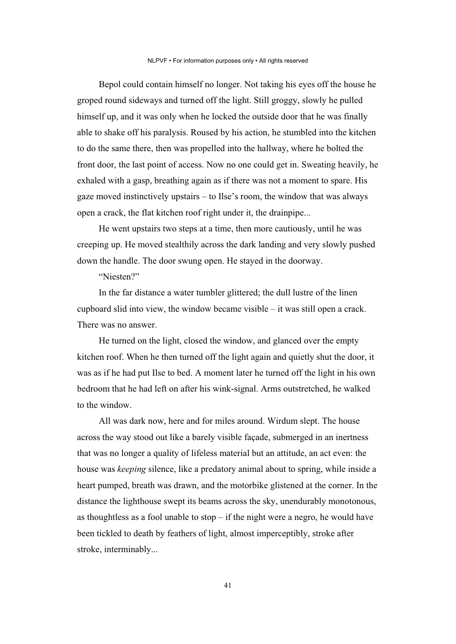Bepol could contain himself no longer. Not taking his eyes off the house he groped round sideways and turned off the light. Still groggy, slowly he pulled himself up, and it was only when he locked the outside door that he was finally able to shake off his paralysis. Roused by his action, he stumbled into the kitchen to do the same there, then was propelled into the hallway, where he bolted the front door, the last point of access. Now no one could get in. Sweating heavily, he exhaled with a gasp, breathing again as if there was not a moment to spare. His gaze moved instinctively upstairs – to Ilse's room, the window that was always open a crack, the flat kitchen roof right under it, the drainpipe...

He went upstairs two steps at a time, then more cautiously, until he was creeping up. He moved stealthily across the dark landing and very slowly pushed down the handle. The door swung open. He stayed in the doorway.

"Niesten?"

In the far distance a water tumbler glittered; the dull lustre of the linen cupboard slid into view, the window became visible – it was still open a crack. There was no answer.

He turned on the light, closed the window, and glanced over the empty kitchen roof. When he then turned off the light again and quietly shut the door, it was as if he had put Ilse to bed. A moment later he turned off the light in his own bedroom that he had left on after his wink-signal. Arms outstretched, he walked to the window.

All was dark now, here and for miles around. Wirdum slept. The house across the way stood out like a barely visible façade, submerged in an inertness that was no longer a quality of lifeless material but an attitude, an act even: the house was *keeping* silence, like a predatory animal about to spring, while inside a heart pumped, breath was drawn, and the motorbike glistened at the corner. In the distance the lighthouse swept its beams across the sky, unendurably monotonous, as thoughtless as a fool unable to  $stop - if$  the night were a negro, he would have been tickled to death by feathers of light, almost imperceptibly, stroke after stroke, interminably...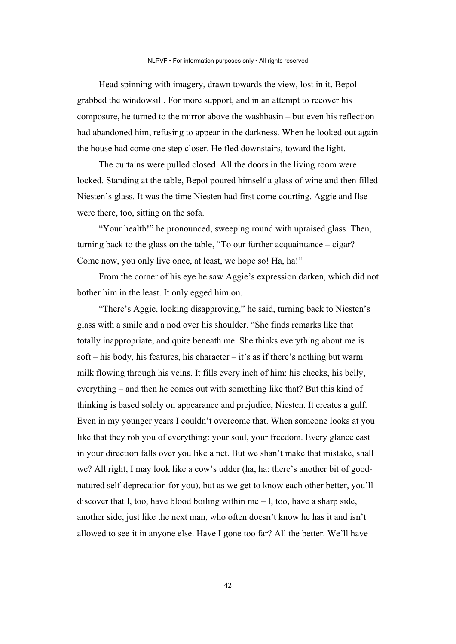Head spinning with imagery, drawn towards the view, lost in it, Bepol grabbed the windowsill. For more support, and in an attempt to recover his composure, he turned to the mirror above the washbasin – but even his reflection had abandoned him, refusing to appear in the darkness. When he looked out again the house had come one step closer. He fled downstairs, toward the light.

The curtains were pulled closed. All the doors in the living room were locked. Standing at the table, Bepol poured himself a glass of wine and then filled Niesten's glass. It was the time Niesten had first come courting. Aggie and Ilse were there, too, sitting on the sofa.

"Your health!" he pronounced, sweeping round with upraised glass. Then, turning back to the glass on the table, "To our further acquaintance – cigar? Come now, you only live once, at least, we hope so! Ha, ha!"

From the corner of his eye he saw Aggie's expression darken, which did not bother him in the least. It only egged him on.

"There's Aggie, looking disapproving," he said, turning back to Niesten's glass with a smile and a nod over his shoulder. "She finds remarks like that totally inappropriate, and quite beneath me. She thinks everything about me is soft – his body, his features, his character – it's as if there's nothing but warm milk flowing through his veins. It fills every inch of him: his cheeks, his belly, everything – and then he comes out with something like that? But this kind of thinking is based solely on appearance and prejudice, Niesten. It creates a gulf. Even in my younger years I couldn't overcome that. When someone looks at you like that they rob you of everything: your soul, your freedom. Every glance cast in your direction falls over you like a net. But we shan't make that mistake, shall we? All right, I may look like a cow's udder (ha, ha: there's another bit of goodnatured self-deprecation for you), but as we get to know each other better, you'll discover that I, too, have blood boiling within me – I, too, have a sharp side, another side, just like the next man, who often doesn't know he has it and isn't allowed to see it in anyone else. Have I gone too far? All the better. We'll have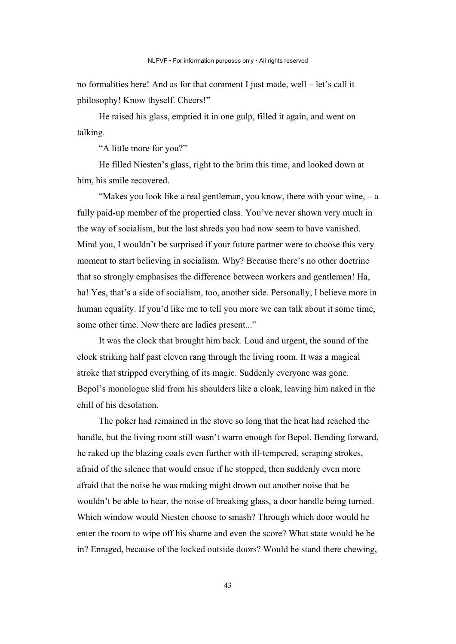no formalities here! And as for that comment I just made, well – let's call it philosophy! Know thyself. Cheers!"

He raised his glass, emptied it in one gulp, filled it again, and went on talking.

"A little more for you?"

He filled Niesten's glass, right to the brim this time, and looked down at him, his smile recovered.

"Makes you look like a real gentleman, you know, there with your wine, – a fully paid-up member of the propertied class. You've never shown very much in the way of socialism, but the last shreds you had now seem to have vanished. Mind you, I wouldn't be surprised if your future partner were to choose this very moment to start believing in socialism. Why? Because there's no other doctrine that so strongly emphasises the difference between workers and gentlemen! Ha, ha! Yes, that's a side of socialism, too, another side. Personally, I believe more in human equality. If you'd like me to tell you more we can talk about it some time, some other time. Now there are ladies present..."

It was the clock that brought him back. Loud and urgent, the sound of the clock striking half past eleven rang through the living room. It was a magical stroke that stripped everything of its magic. Suddenly everyone was gone. Bepol's monologue slid from his shoulders like a cloak, leaving him naked in the chill of his desolation.

The poker had remained in the stove so long that the heat had reached the handle, but the living room still wasn't warm enough for Bepol. Bending forward, he raked up the blazing coals even further with ill-tempered, scraping strokes, afraid of the silence that would ensue if he stopped, then suddenly even more afraid that the noise he was making might drown out another noise that he wouldn't be able to hear, the noise of breaking glass, a door handle being turned. Which window would Niesten choose to smash? Through which door would he enter the room to wipe off his shame and even the score? What state would he be in? Enraged, because of the locked outside doors? Would he stand there chewing,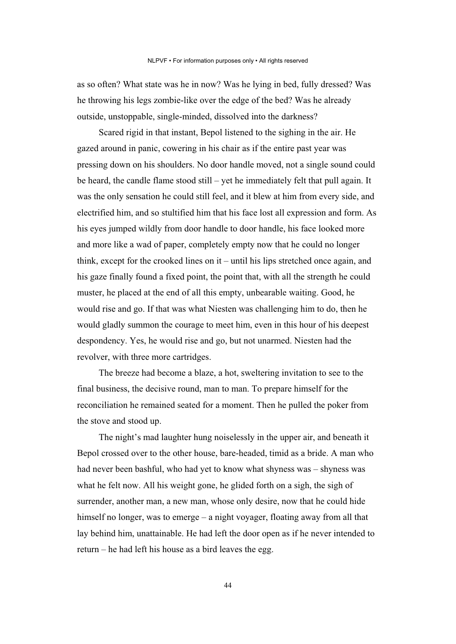as so often? What state was he in now? Was he lying in bed, fully dressed? Was he throwing his legs zombie-like over the edge of the bed? Was he already outside, unstoppable, single-minded, dissolved into the darkness?

Scared rigid in that instant, Bepol listened to the sighing in the air. He gazed around in panic, cowering in his chair as if the entire past year was pressing down on his shoulders. No door handle moved, not a single sound could be heard, the candle flame stood still – yet he immediately felt that pull again. It was the only sensation he could still feel, and it blew at him from every side, and electrified him, and so stultified him that his face lost all expression and form. As his eyes jumped wildly from door handle to door handle, his face looked more and more like a wad of paper, completely empty now that he could no longer think, except for the crooked lines on it – until his lips stretched once again, and his gaze finally found a fixed point, the point that, with all the strength he could muster, he placed at the end of all this empty, unbearable waiting. Good, he would rise and go. If that was what Niesten was challenging him to do, then he would gladly summon the courage to meet him, even in this hour of his deepest despondency. Yes, he would rise and go, but not unarmed. Niesten had the revolver, with three more cartridges.

The breeze had become a blaze, a hot, sweltering invitation to see to the final business, the decisive round, man to man. To prepare himself for the reconciliation he remained seated for a moment. Then he pulled the poker from the stove and stood up.

The night's mad laughter hung noiselessly in the upper air, and beneath it Bepol crossed over to the other house, bare-headed, timid as a bride. A man who had never been bashful, who had yet to know what shyness was – shyness was what he felt now. All his weight gone, he glided forth on a sigh, the sigh of surrender, another man, a new man, whose only desire, now that he could hide himself no longer, was to emerge – a night voyager, floating away from all that lay behind him, unattainable. He had left the door open as if he never intended to return – he had left his house as a bird leaves the egg.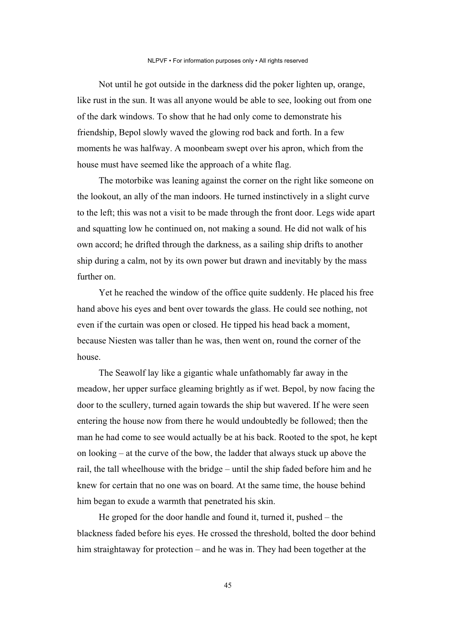Not until he got outside in the darkness did the poker lighten up, orange, like rust in the sun. It was all anyone would be able to see, looking out from one of the dark windows. To show that he had only come to demonstrate his friendship, Bepol slowly waved the glowing rod back and forth. In a few moments he was halfway. A moonbeam swept over his apron, which from the house must have seemed like the approach of a white flag.

The motorbike was leaning against the corner on the right like someone on the lookout, an ally of the man indoors. He turned instinctively in a slight curve to the left; this was not a visit to be made through the front door. Legs wide apart and squatting low he continued on, not making a sound. He did not walk of his own accord; he drifted through the darkness, as a sailing ship drifts to another ship during a calm, not by its own power but drawn and inevitably by the mass further on.

Yet he reached the window of the office quite suddenly. He placed his free hand above his eyes and bent over towards the glass. He could see nothing, not even if the curtain was open or closed. He tipped his head back a moment, because Niesten was taller than he was, then went on, round the corner of the house.

The Seawolf lay like a gigantic whale unfathomably far away in the meadow, her upper surface gleaming brightly as if wet. Bepol, by now facing the door to the scullery, turned again towards the ship but wavered. If he were seen entering the house now from there he would undoubtedly be followed; then the man he had come to see would actually be at his back. Rooted to the spot, he kept on looking – at the curve of the bow, the ladder that always stuck up above the rail, the tall wheelhouse with the bridge – until the ship faded before him and he knew for certain that no one was on board. At the same time, the house behind him began to exude a warmth that penetrated his skin.

He groped for the door handle and found it, turned it, pushed – the blackness faded before his eyes. He crossed the threshold, bolted the door behind him straightaway for protection – and he was in. They had been together at the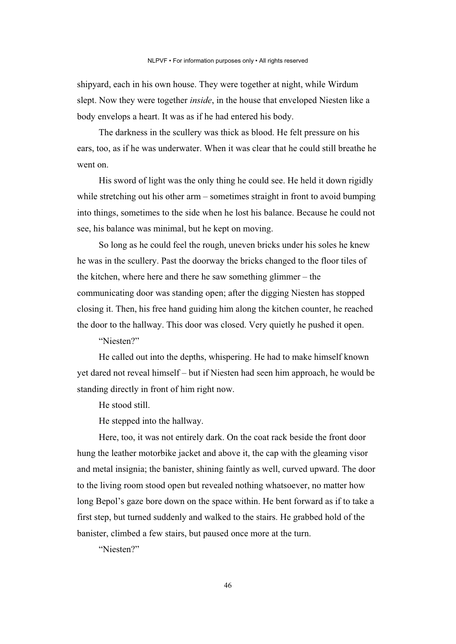shipyard, each in his own house. They were together at night, while Wirdum slept. Now they were together *inside*, in the house that enveloped Niesten like a body envelops a heart. It was as if he had entered his body.

The darkness in the scullery was thick as blood. He felt pressure on his ears, too, as if he was underwater. When it was clear that he could still breathe he went on.

His sword of light was the only thing he could see. He held it down rigidly while stretching out his other arm – sometimes straight in front to avoid bumping into things, sometimes to the side when he lost his balance. Because he could not see, his balance was minimal, but he kept on moving.

So long as he could feel the rough, uneven bricks under his soles he knew he was in the scullery. Past the doorway the bricks changed to the floor tiles of the kitchen, where here and there he saw something glimmer – the communicating door was standing open; after the digging Niesten has stopped closing it. Then, his free hand guiding him along the kitchen counter, he reached the door to the hallway. This door was closed. Very quietly he pushed it open.

"Niesten?"

He called out into the depths, whispering. He had to make himself known yet dared not reveal himself – but if Niesten had seen him approach, he would be standing directly in front of him right now.

He stood still.

He stepped into the hallway.

Here, too, it was not entirely dark. On the coat rack beside the front door hung the leather motorbike jacket and above it, the cap with the gleaming visor and metal insignia; the banister, shining faintly as well, curved upward. The door to the living room stood open but revealed nothing whatsoever, no matter how long Bepol's gaze bore down on the space within. He bent forward as if to take a first step, but turned suddenly and walked to the stairs. He grabbed hold of the banister, climbed a few stairs, but paused once more at the turn.

"Niesten?"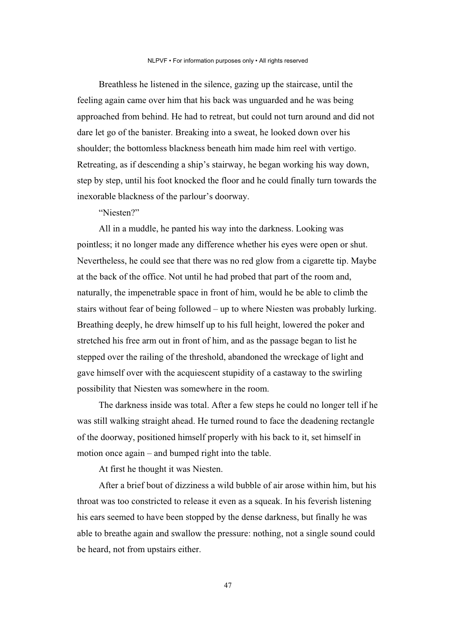Breathless he listened in the silence, gazing up the staircase, until the feeling again came over him that his back was unguarded and he was being approached from behind. He had to retreat, but could not turn around and did not dare let go of the banister. Breaking into a sweat, he looked down over his shoulder; the bottomless blackness beneath him made him reel with vertigo. Retreating, as if descending a ship's stairway, he began working his way down, step by step, until his foot knocked the floor and he could finally turn towards the inexorable blackness of the parlour's doorway.

"Niesten?"

All in a muddle, he panted his way into the darkness. Looking was pointless; it no longer made any difference whether his eyes were open or shut. Nevertheless, he could see that there was no red glow from a cigarette tip. Maybe at the back of the office. Not until he had probed that part of the room and, naturally, the impenetrable space in front of him, would he be able to climb the stairs without fear of being followed – up to where Niesten was probably lurking. Breathing deeply, he drew himself up to his full height, lowered the poker and stretched his free arm out in front of him, and as the passage began to list he stepped over the railing of the threshold, abandoned the wreckage of light and gave himself over with the acquiescent stupidity of a castaway to the swirling possibility that Niesten was somewhere in the room.

The darkness inside was total. After a few steps he could no longer tell if he was still walking straight ahead. He turned round to face the deadening rectangle of the doorway, positioned himself properly with his back to it, set himself in motion once again – and bumped right into the table.

At first he thought it was Niesten.

After a brief bout of dizziness a wild bubble of air arose within him, but his throat was too constricted to release it even as a squeak. In his feverish listening his ears seemed to have been stopped by the dense darkness, but finally he was able to breathe again and swallow the pressure: nothing, not a single sound could be heard, not from upstairs either.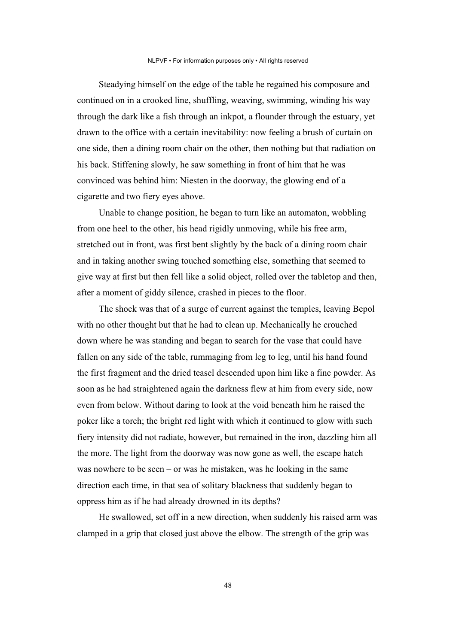Steadying himself on the edge of the table he regained his composure and continued on in a crooked line, shuffling, weaving, swimming, winding his way through the dark like a fish through an inkpot, a flounder through the estuary, yet drawn to the office with a certain inevitability: now feeling a brush of curtain on one side, then a dining room chair on the other, then nothing but that radiation on his back. Stiffening slowly, he saw something in front of him that he was convinced was behind him: Niesten in the doorway, the glowing end of a cigarette and two fiery eyes above.

Unable to change position, he began to turn like an automaton, wobbling from one heel to the other, his head rigidly unmoving, while his free arm, stretched out in front, was first bent slightly by the back of a dining room chair and in taking another swing touched something else, something that seemed to give way at first but then fell like a solid object, rolled over the tabletop and then, after a moment of giddy silence, crashed in pieces to the floor.

The shock was that of a surge of current against the temples, leaving Bepol with no other thought but that he had to clean up. Mechanically he crouched down where he was standing and began to search for the vase that could have fallen on any side of the table, rummaging from leg to leg, until his hand found the first fragment and the dried teasel descended upon him like a fine powder. As soon as he had straightened again the darkness flew at him from every side, now even from below. Without daring to look at the void beneath him he raised the poker like a torch; the bright red light with which it continued to glow with such fiery intensity did not radiate, however, but remained in the iron, dazzling him all the more. The light from the doorway was now gone as well, the escape hatch was nowhere to be seen – or was he mistaken, was he looking in the same direction each time, in that sea of solitary blackness that suddenly began to oppress him as if he had already drowned in its depths?

He swallowed, set off in a new direction, when suddenly his raised arm was clamped in a grip that closed just above the elbow. The strength of the grip was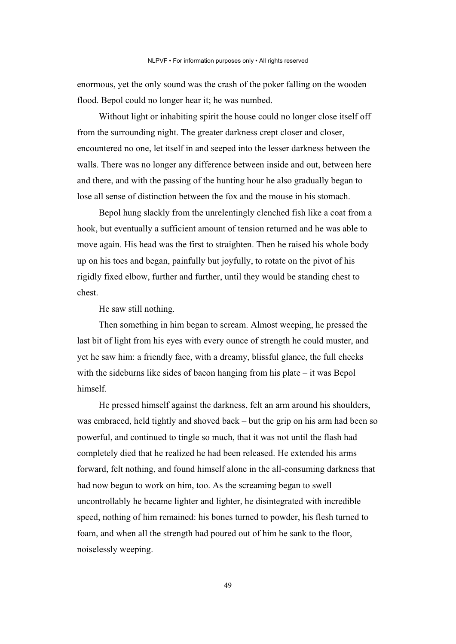enormous, yet the only sound was the crash of the poker falling on the wooden flood. Bepol could no longer hear it; he was numbed.

Without light or inhabiting spirit the house could no longer close itself off from the surrounding night. The greater darkness crept closer and closer, encountered no one, let itself in and seeped into the lesser darkness between the walls. There was no longer any difference between inside and out, between here and there, and with the passing of the hunting hour he also gradually began to lose all sense of distinction between the fox and the mouse in his stomach.

Bepol hung slackly from the unrelentingly clenched fish like a coat from a hook, but eventually a sufficient amount of tension returned and he was able to move again. His head was the first to straighten. Then he raised his whole body up on his toes and began, painfully but joyfully, to rotate on the pivot of his rigidly fixed elbow, further and further, until they would be standing chest to chest.

He saw still nothing.

Then something in him began to scream. Almost weeping, he pressed the last bit of light from his eyes with every ounce of strength he could muster, and yet he saw him: a friendly face, with a dreamy, blissful glance, the full cheeks with the sideburns like sides of bacon hanging from his plate  $-$  it was Bepol himself.

He pressed himself against the darkness, felt an arm around his shoulders, was embraced, held tightly and shoved back – but the grip on his arm had been so powerful, and continued to tingle so much, that it was not until the flash had completely died that he realized he had been released. He extended his arms forward, felt nothing, and found himself alone in the all-consuming darkness that had now begun to work on him, too. As the screaming began to swell uncontrollably he became lighter and lighter, he disintegrated with incredible speed, nothing of him remained: his bones turned to powder, his flesh turned to foam, and when all the strength had poured out of him he sank to the floor, noiselessly weeping.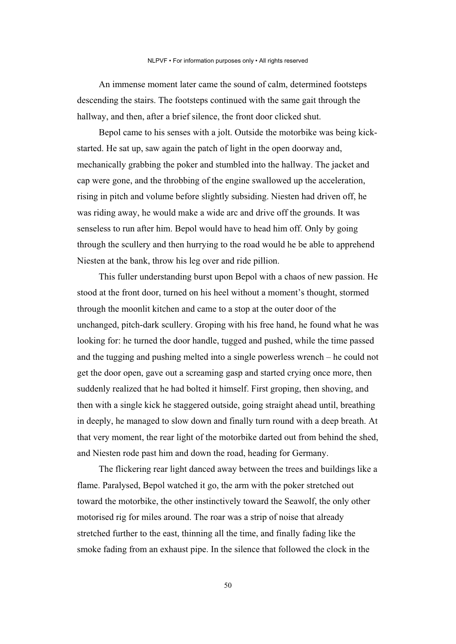An immense moment later came the sound of calm, determined footsteps descending the stairs. The footsteps continued with the same gait through the hallway, and then, after a brief silence, the front door clicked shut.

Bepol came to his senses with a jolt. Outside the motorbike was being kickstarted. He sat up, saw again the patch of light in the open doorway and, mechanically grabbing the poker and stumbled into the hallway. The jacket and cap were gone, and the throbbing of the engine swallowed up the acceleration, rising in pitch and volume before slightly subsiding. Niesten had driven off, he was riding away, he would make a wide arc and drive off the grounds. It was senseless to run after him. Bepol would have to head him off. Only by going through the scullery and then hurrying to the road would he be able to apprehend Niesten at the bank, throw his leg over and ride pillion.

This fuller understanding burst upon Bepol with a chaos of new passion. He stood at the front door, turned on his heel without a moment's thought, stormed through the moonlit kitchen and came to a stop at the outer door of the unchanged, pitch-dark scullery. Groping with his free hand, he found what he was looking for: he turned the door handle, tugged and pushed, while the time passed and the tugging and pushing melted into a single powerless wrench – he could not get the door open, gave out a screaming gasp and started crying once more, then suddenly realized that he had bolted it himself. First groping, then shoving, and then with a single kick he staggered outside, going straight ahead until, breathing in deeply, he managed to slow down and finally turn round with a deep breath. At that very moment, the rear light of the motorbike darted out from behind the shed, and Niesten rode past him and down the road, heading for Germany.

The flickering rear light danced away between the trees and buildings like a flame. Paralysed, Bepol watched it go, the arm with the poker stretched out toward the motorbike, the other instinctively toward the Seawolf, the only other motorised rig for miles around. The roar was a strip of noise that already stretched further to the east, thinning all the time, and finally fading like the smoke fading from an exhaust pipe. In the silence that followed the clock in the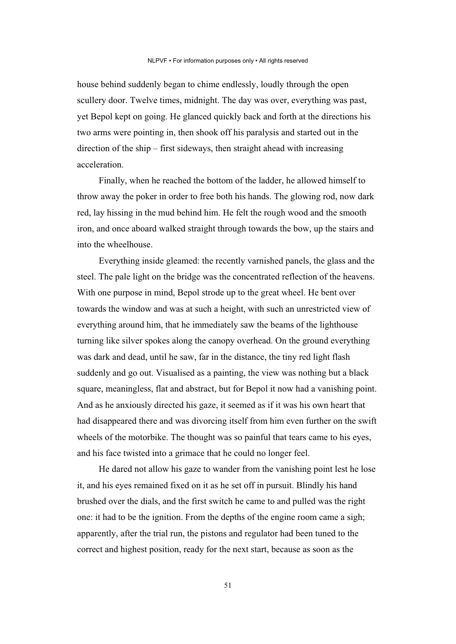house behind suddenly began to chime endlessly, loudly through the open scullery door. Twelve times, midnight. The day was over, everything was past, yet Bepol kept on going. He glanced quickly back and forth at the directions his two arms were pointing in, then shook off his paralysis and started out in the direction of the ship – first sideways, then straight ahead with increasing acceleration.

Finally, when he reached the bottom of the ladder, he allowed himself to throw away the poker in order to free both his hands. The glowing rod, now dark red, lay hissing in the mud behind him. He felt the rough wood and the smooth iron, and once aboard walked straight through towards the bow, up the stairs and into the wheelhouse.

Everything inside gleamed: the recently varnished panels, the glass and the steel. The pale light on the bridge was the concentrated reflection of the heavens. With one purpose in mind, Bepol strode up to the great wheel. He bent over towards the window and was at such a height, with such an unrestricted view of everything around him, that he immediately saw the beams of the lighthouse turning like silver spokes along the canopy overhead. On the ground everything was dark and dead, until he saw, far in the distance, the tiny red light flash suddenly and go out. Visualised as a painting, the view was nothing but a black square, meaningless, flat and abstract, but for Bepol it now had a vanishing point. And as he anxiously directed his gaze, it seemed as if it was his own heart that had disappeared there and was divorcing itself from him even further on the swift wheels of the motorbike. The thought was so painful that tears came to his eyes, and his face twisted into a grimace that he could no longer feel.

He dared not allow his gaze to wander from the vanishing point lest he lose it, and his eyes remained fixed on it as he set off in pursuit. Blindly his hand brushed over the dials, and the first switch he came to and pulled was the right one: it had to be the ignition. From the depths of the engine room came a sigh; apparently, after the trial run, the pistons and regulator had been tuned to the correct and highest position, ready for the next start, because as soon as the